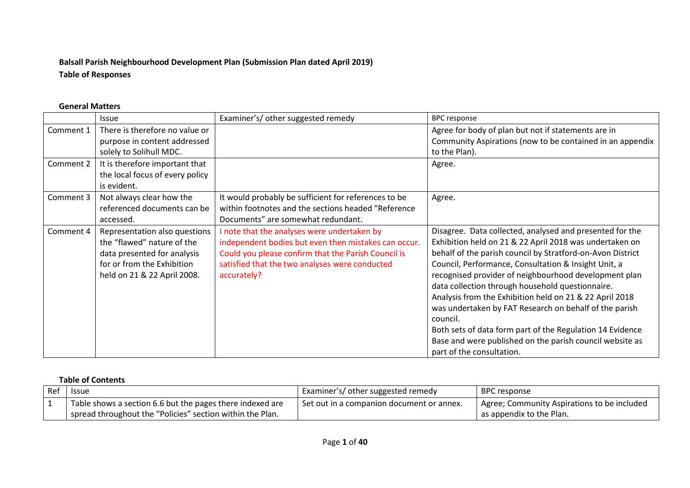# **Balsall Parish Neighbourhood Development Plan (Submission Plan dated April 2019) Table of Responses**

#### **General Matters**

|           | <b>Issue</b>                                                                                                                                            | Examiner's/other suggested remedy                                                                                                                                                                                           | <b>BPC response</b>                                                                                                                                                                                                                                                                                                                                                                                                                                                                                                                                                                                                                           |
|-----------|---------------------------------------------------------------------------------------------------------------------------------------------------------|-----------------------------------------------------------------------------------------------------------------------------------------------------------------------------------------------------------------------------|-----------------------------------------------------------------------------------------------------------------------------------------------------------------------------------------------------------------------------------------------------------------------------------------------------------------------------------------------------------------------------------------------------------------------------------------------------------------------------------------------------------------------------------------------------------------------------------------------------------------------------------------------|
| Comment 1 | There is therefore no value or<br>purpose in content addressed<br>solely to Solihull MDC.                                                               |                                                                                                                                                                                                                             | Agree for body of plan but not if statements are in<br>Community Aspirations (now to be contained in an appendix<br>to the Plan).                                                                                                                                                                                                                                                                                                                                                                                                                                                                                                             |
| Comment 2 | It is therefore important that<br>the local focus of every policy<br>is evident.                                                                        |                                                                                                                                                                                                                             | Agree.                                                                                                                                                                                                                                                                                                                                                                                                                                                                                                                                                                                                                                        |
| Comment 3 | Not always clear how the<br>referenced documents can be<br>accessed.                                                                                    | It would probably be sufficient for references to be<br>within footnotes and the sections headed "Reference<br>Documents" are somewhat redundant.                                                                           | Agree.                                                                                                                                                                                                                                                                                                                                                                                                                                                                                                                                                                                                                                        |
| Comment 4 | Representation also questions<br>the "flawed" nature of the<br>data presented for analysis<br>for or from the Exhibition<br>held on 21 & 22 April 2008. | I note that the analyses were undertaken by<br>independent bodies but even then mistakes can occur.<br>Could you please confirm that the Parish Council is<br>satisfied that the two analyses were conducted<br>accurately? | Disagree. Data collected, analysed and presented for the<br>Exhibition held on 21 & 22 April 2018 was undertaken on<br>behalf of the parish council by Stratford-on-Avon District<br>Council, Performance, Consultation & Insight Unit, a<br>recognised provider of neighbourhood development plan<br>data collection through household questionnaire.<br>Analysis from the Exhibition held on 21 & 22 April 2018<br>was undertaken by FAT Research on behalf of the parish<br>council.<br>Both sets of data form part of the Regulation 14 Evidence<br>Base and were published on the parish council website as<br>part of the consultation. |

#### **Table of Contents**

| Ref | <b>Issue</b>                                              | Examiner's/ other suggested remedy          | <b>BPC</b> response                         |
|-----|-----------------------------------------------------------|---------------------------------------------|---------------------------------------------|
|     | Table shows a section 6.6 but the pages there indexed are | l Set out in a companion document or annex. | Agree; Community Aspirations to be included |
|     | spread throughout the "Policies" section within the Plan. |                                             | as appendix to the Plan.                    |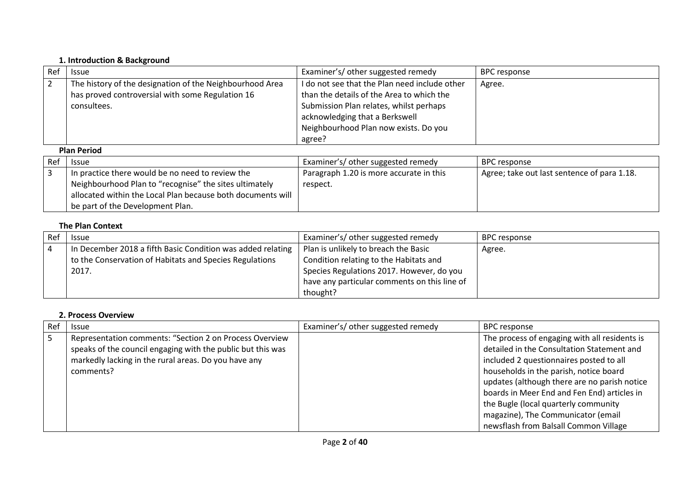#### **1. Introduction & Background**

| Ref | <b>Issue</b>                                             | Examiner's/ other suggested remedy            | <b>BPC</b> response |  |
|-----|----------------------------------------------------------|-----------------------------------------------|---------------------|--|
|     | The history of the designation of the Neighbourhood Area | I do not see that the Plan need include other | Agree.              |  |
|     | has proved controversial with some Regulation 16         | than the details of the Area to which the     |                     |  |
|     | consultees.                                              | Submission Plan relates, whilst perhaps       |                     |  |
|     |                                                          | acknowledging that a Berkswell                |                     |  |
|     |                                                          | Neighbourhood Plan now exists. Do you         |                     |  |
|     |                                                          | agree?                                        |                     |  |
|     | <b>Plan Period</b>                                       |                                               |                     |  |
| Ref | <b>Issue</b>                                             | Examiner's/ other suggested remedy            | <b>BPC</b> response |  |

| Ref | <b>Issue</b>                                                | Examiner's/ other suggested remedy      | BPC response                                |
|-----|-------------------------------------------------------------|-----------------------------------------|---------------------------------------------|
|     | In practice there would be no need to review the            | Paragraph 1.20 is more accurate in this | Agree; take out last sentence of para 1.18. |
|     | Neighbourhood Plan to "recognise" the sites ultimately      | respect.                                |                                             |
|     | allocated within the Local Plan because both documents will |                                         |                                             |
|     | be part of the Development Plan.                            |                                         |                                             |

## **The Plan Context**

| Ref | <b>Issue</b>                                                | Examiner's/ other suggested remedy           | <b>BPC response</b> |
|-----|-------------------------------------------------------------|----------------------------------------------|---------------------|
| 4   | In December 2018 a fifth Basic Condition was added relating | Plan is unlikely to breach the Basic         | Agree.              |
|     | to the Conservation of Habitats and Species Regulations     | Condition relating to the Habitats and       |                     |
|     | 2017.                                                       | Species Regulations 2017. However, do you    |                     |
|     |                                                             | have any particular comments on this line of |                     |
|     |                                                             | thought?                                     |                     |

## **2. Process Overview**

| Ref | <b>Issue</b>                                                | Examiner's/ other suggested remedy | <b>BPC response</b>                           |
|-----|-------------------------------------------------------------|------------------------------------|-----------------------------------------------|
| l 5 | Representation comments: "Section 2 on Process Overview     |                                    | The process of engaging with all residents is |
|     | speaks of the council engaging with the public but this was |                                    | detailed in the Consultation Statement and    |
|     | markedly lacking in the rural areas. Do you have any        |                                    | included 2 questionnaires posted to all       |
|     | comments?                                                   |                                    | households in the parish, notice board        |
|     |                                                             |                                    | updates (although there are no parish notice  |
|     |                                                             |                                    | boards in Meer End and Fen End) articles in   |
|     |                                                             |                                    | the Bugle (local quarterly community          |
|     |                                                             |                                    | magazine), The Communicator (email            |
|     |                                                             |                                    | newsflash from Balsall Common Village         |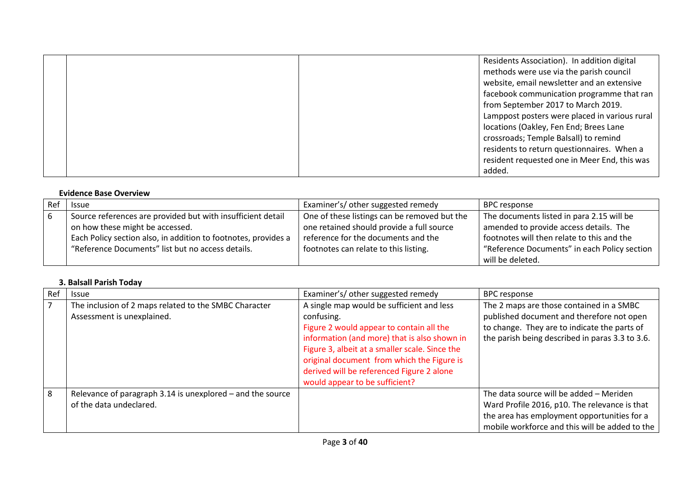|  | Residents Association). In addition digital   |
|--|-----------------------------------------------|
|  |                                               |
|  | methods were use via the parish council       |
|  | website, email newsletter and an extensive    |
|  | facebook communication programme that ran     |
|  | from September 2017 to March 2019.            |
|  | Lamppost posters were placed in various rural |
|  | locations (Oakley, Fen End; Brees Lane        |
|  | crossroads; Temple Balsall) to remind         |
|  | residents to return questionnaires. When a    |
|  | resident requested one in Meer End, this was  |
|  | added.                                        |

#### **Evidence Base Overview**

| Ref | <b>Issue</b>                                                   | Examiner's/ other suggested remedy           | <b>BPC</b> response                          |
|-----|----------------------------------------------------------------|----------------------------------------------|----------------------------------------------|
| l 6 | Source references are provided but with insufficient detail    | One of these listings can be removed but the | The documents listed in para 2.15 will be    |
|     | on how these might be accessed.                                | one retained should provide a full source    | amended to provide access details. The       |
|     | Each Policy section also, in addition to footnotes, provides a | reference for the documents and the          | footnotes will then relate to this and the   |
|     | "Reference Documents" list but no access details.              | footnotes can relate to this listing.        | "Reference Documents" in each Policy section |
|     |                                                                |                                              | will be deleted.                             |

#### **3. Balsall Parish Today**

| Ref            | <b>Issue</b>                                                                          | Examiner's/ other suggested remedy                                                                                                                                                                                                                                                                                                 | <b>BPC</b> response                                                                                                                                                                       |
|----------------|---------------------------------------------------------------------------------------|------------------------------------------------------------------------------------------------------------------------------------------------------------------------------------------------------------------------------------------------------------------------------------------------------------------------------------|-------------------------------------------------------------------------------------------------------------------------------------------------------------------------------------------|
| $\overline{7}$ | The inclusion of 2 maps related to the SMBC Character<br>Assessment is unexplained.   | A single map would be sufficient and less<br>confusing.<br>Figure 2 would appear to contain all the<br>information (and more) that is also shown in<br>Figure 3, albeit at a smaller scale. Since the<br>original document from which the Figure is<br>derived will be referenced Figure 2 alone<br>would appear to be sufficient? | The 2 maps are those contained in a SMBC<br>published document and therefore not open<br>to change. They are to indicate the parts of<br>the parish being described in paras 3.3 to 3.6.  |
| 8              | Relevance of paragraph 3.14 is unexplored - and the source<br>of the data undeclared. |                                                                                                                                                                                                                                                                                                                                    | The data source will be added - Meriden<br>Ward Profile 2016, p10. The relevance is that<br>the area has employment opportunities for a<br>mobile workforce and this will be added to the |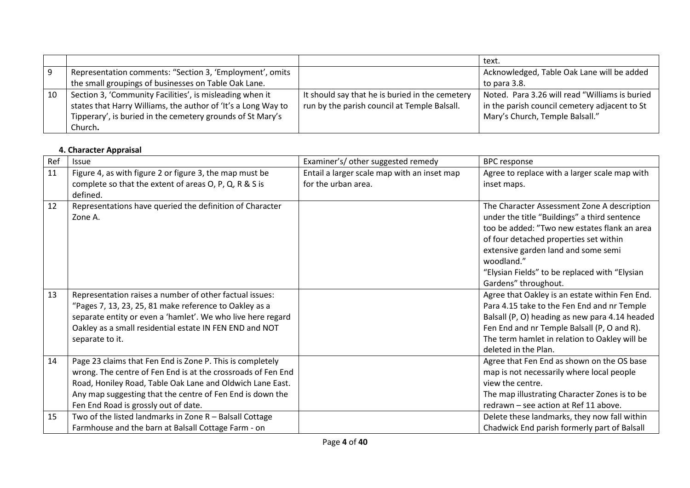|    |                                                               |                                                 | text.                                          |
|----|---------------------------------------------------------------|-------------------------------------------------|------------------------------------------------|
|    | Representation comments: "Section 3, 'Employment', omits      |                                                 | Acknowledged, Table Oak Lane will be added     |
|    | the small groupings of businesses on Table Oak Lane.          |                                                 | to para 3.8.                                   |
| 10 | Section 3, 'Community Facilities', is misleading when it      | It should say that he is buried in the cemetery | Noted. Para 3.26 will read "Williams is buried |
|    | states that Harry Williams, the author of 'It's a Long Way to | run by the parish council at Temple Balsall.    | in the parish council cemetery adjacent to St  |
|    | Tipperary', is buried in the cemetery grounds of St Mary's    |                                                 | Mary's Church, Temple Balsall."                |
|    | Church.                                                       |                                                 |                                                |

## **4. Character Appraisal**

| Ref | Issue                                                                                                                                                                                                                                                                                       | Examiner's/ other suggested remedy                                 | <b>BPC</b> response                                                                                                                                                                                                                                                     |
|-----|---------------------------------------------------------------------------------------------------------------------------------------------------------------------------------------------------------------------------------------------------------------------------------------------|--------------------------------------------------------------------|-------------------------------------------------------------------------------------------------------------------------------------------------------------------------------------------------------------------------------------------------------------------------|
| 11  | Figure 4, as with figure 2 or figure 3, the map must be                                                                                                                                                                                                                                     | Entail a larger scale map with an inset map<br>for the urban area. | Agree to replace with a larger scale map with                                                                                                                                                                                                                           |
|     | complete so that the extent of areas O, P, Q, R & S is<br>defined.                                                                                                                                                                                                                          |                                                                    | inset maps.                                                                                                                                                                                                                                                             |
| 12  | Representations have queried the definition of Character<br>Zone A.                                                                                                                                                                                                                         |                                                                    | The Character Assessment Zone A description<br>under the title "Buildings" a third sentence<br>too be added: "Two new estates flank an area<br>of four detached properties set within<br>extensive garden land and some semi<br>woodland."                              |
|     |                                                                                                                                                                                                                                                                                             |                                                                    | "Elysian Fields" to be replaced with "Elysian<br>Gardens" throughout.                                                                                                                                                                                                   |
| 13  | Representation raises a number of other factual issues:<br>"Pages 7, 13, 23, 25, 81 make reference to Oakley as a<br>separate entity or even a 'hamlet'. We who live here regard<br>Oakley as a small residential estate IN FEN END and NOT<br>separate to it.                              |                                                                    | Agree that Oakley is an estate within Fen End.<br>Para 4.15 take to the Fen End and nr Temple<br>Balsall (P, O) heading as new para 4.14 headed<br>Fen End and nr Temple Balsall (P, O and R).<br>The term hamlet in relation to Oakley will be<br>deleted in the Plan. |
| 14  | Page 23 claims that Fen End is Zone P. This is completely<br>wrong. The centre of Fen End is at the crossroads of Fen End<br>Road, Honiley Road, Table Oak Lane and Oldwich Lane East.<br>Any map suggesting that the centre of Fen End is down the<br>Fen End Road is grossly out of date. |                                                                    | Agree that Fen End as shown on the OS base<br>map is not necessarily where local people<br>view the centre.<br>The map illustrating Character Zones is to be<br>redrawn - see action at Ref 11 above.                                                                   |
| 15  | Two of the listed landmarks in Zone R - Balsall Cottage<br>Farmhouse and the barn at Balsall Cottage Farm - on                                                                                                                                                                              |                                                                    | Delete these landmarks, they now fall within<br>Chadwick End parish formerly part of Balsall                                                                                                                                                                            |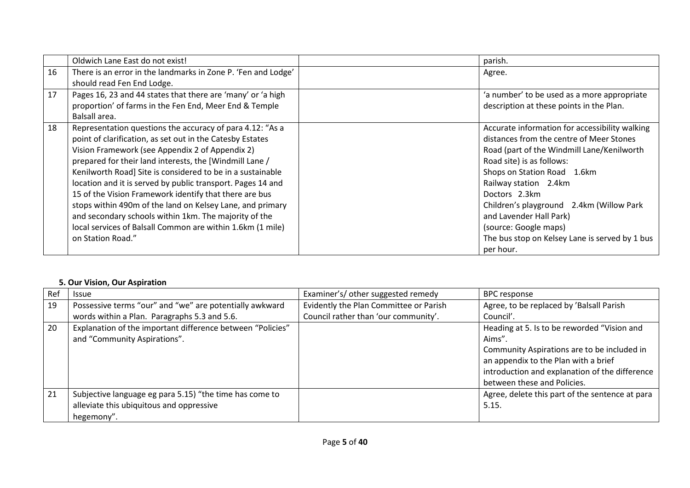|    | Oldwich Lane East do not exist!                               | parish.                                        |
|----|---------------------------------------------------------------|------------------------------------------------|
| 16 | There is an error in the landmarks in Zone P. 'Fen and Lodge' | Agree.                                         |
|    | should read Fen End Lodge.                                    |                                                |
| 17 | Pages 16, 23 and 44 states that there are 'many' or 'a high   | 'a number' to be used as a more appropriate    |
|    | proportion' of farms in the Fen End, Meer End & Temple        | description at these points in the Plan.       |
|    | Balsall area.                                                 |                                                |
| 18 | Representation questions the accuracy of para 4.12: "As a     | Accurate information for accessibility walking |
|    | point of clarification, as set out in the Catesby Estates     | distances from the centre of Meer Stones       |
|    | Vision Framework (see Appendix 2 of Appendix 2)               | Road (part of the Windmill Lane/Kenilworth     |
|    | prepared for their land interests, the [Windmill Lane /       | Road site) is as follows:                      |
|    | Kenilworth Road] Site is considered to be in a sustainable    | Shops on Station Road 1.6km                    |
|    | location and it is served by public transport. Pages 14 and   | Railway station 2.4km                          |
|    | 15 of the Vision Framework identify that there are bus        | Doctors 2.3km                                  |
|    | stops within 490m of the land on Kelsey Lane, and primary     | Children's playground 2.4km (Willow Park       |
|    | and secondary schools within 1km. The majority of the         | and Lavender Hall Park)                        |
|    | local services of Balsall Common are within 1.6km (1 mile)    | (source: Google maps)                          |
|    | on Station Road."                                             | The bus stop on Kelsey Lane is served by 1 bus |
|    |                                                               | per hour.                                      |

#### **5. Our Vision, Our Aspiration**

| Ref | <b>Issue</b>                                               | Examiner's/ other suggested remedy     | <b>BPC response</b>                             |
|-----|------------------------------------------------------------|----------------------------------------|-------------------------------------------------|
| 19  | Possessive terms "our" and "we" are potentially awkward    | Evidently the Plan Committee or Parish | Agree, to be replaced by 'Balsall Parish        |
|     | words within a Plan. Paragraphs 5.3 and 5.6.               | Council rather than 'our community'.   | Council'.                                       |
| 20  | Explanation of the important difference between "Policies" |                                        | Heading at 5. Is to be reworded "Vision and     |
|     | and "Community Aspirations".                               |                                        | Aims"                                           |
|     |                                                            |                                        | Community Aspirations are to be included in     |
|     |                                                            |                                        | an appendix to the Plan with a brief            |
|     |                                                            |                                        | introduction and explanation of the difference  |
|     |                                                            |                                        | between these and Policies.                     |
| 21  | Subjective language eg para 5.15) "the time has come to    |                                        | Agree, delete this part of the sentence at para |
|     | alleviate this ubiquitous and oppressive                   |                                        | 5.15.                                           |
|     | hegemony".                                                 |                                        |                                                 |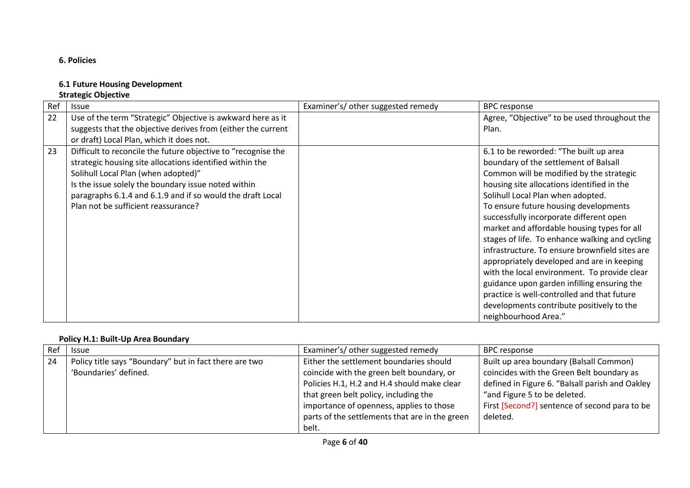## **6. Policies**

### **6.1 Future Housing Development**

# **Strategic Objective**

| Ref | <b>Issue</b>                                                  | Examiner's/ other suggested remedy | <b>BPC</b> response                            |
|-----|---------------------------------------------------------------|------------------------------------|------------------------------------------------|
| 22  | Use of the term "Strategic" Objective is awkward here as it   |                                    | Agree, "Objective" to be used throughout the   |
|     | suggests that the objective derives from (either the current  |                                    | Plan.                                          |
|     | or draft) Local Plan, which it does not.                      |                                    |                                                |
| 23  | Difficult to reconcile the future objective to "recognise the |                                    | 6.1 to be reworded: "The built up area         |
|     | strategic housing site allocations identified within the      |                                    | boundary of the settlement of Balsall          |
|     | Solihull Local Plan (when adopted)"                           |                                    | Common will be modified by the strategic       |
|     | Is the issue solely the boundary issue noted within           |                                    | housing site allocations identified in the     |
|     | paragraphs 6.1.4 and 6.1.9 and if so would the draft Local    |                                    | Solihull Local Plan when adopted.              |
|     | Plan not be sufficient reassurance?                           |                                    | To ensure future housing developments          |
|     |                                                               |                                    | successfully incorporate different open        |
|     |                                                               |                                    | market and affordable housing types for all    |
|     |                                                               |                                    | stages of life. To enhance walking and cycling |
|     |                                                               |                                    | infrastructure. To ensure brownfield sites are |
|     |                                                               |                                    | appropriately developed and are in keeping     |
|     |                                                               |                                    | with the local environment. To provide clear   |
|     |                                                               |                                    | guidance upon garden infilling ensuring the    |
|     |                                                               |                                    | practice is well-controlled and that future    |
|     |                                                               |                                    | developments contribute positively to the      |
|     |                                                               |                                    | neighbourhood Area."                           |

#### **Policy H.1: Built-Up Area Boundary**

| Ref | <b>Issue</b>                                                                    | Examiner's/ other suggested remedy                                                                                                                                                                                                                                         | <b>BPC</b> response                                                                                                                                                                                                                  |
|-----|---------------------------------------------------------------------------------|----------------------------------------------------------------------------------------------------------------------------------------------------------------------------------------------------------------------------------------------------------------------------|--------------------------------------------------------------------------------------------------------------------------------------------------------------------------------------------------------------------------------------|
| 24  | Policy title says "Boundary" but in fact there are two<br>'Boundaries' defined. | Either the settlement boundaries should<br>coincide with the green belt boundary, or<br>Policies H.1, H.2 and H.4 should make clear<br>that green belt policy, including the<br>importance of openness, applies to those<br>parts of the settlements that are in the green | Built up area boundary (Balsall Common)<br>coincides with the Green Belt boundary as<br>defined in Figure 6. "Balsall parish and Oakley<br>"and Figure 5 to be deleted.<br>First [Second?] sentence of second para to be<br>deleted. |
|     |                                                                                 | belt.                                                                                                                                                                                                                                                                      |                                                                                                                                                                                                                                      |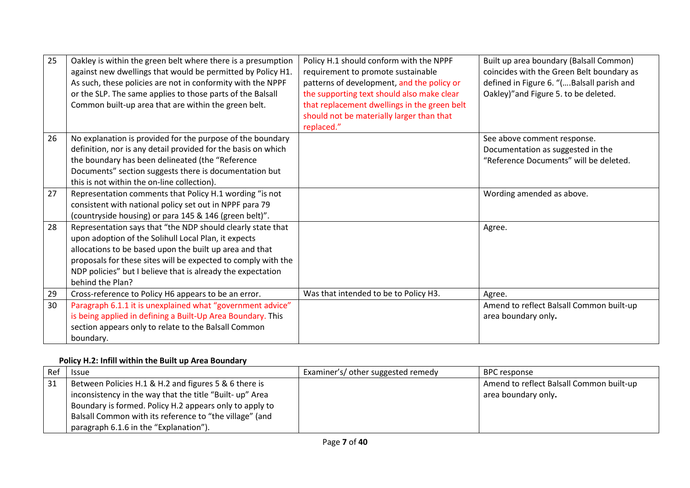| 25 | Oakley is within the green belt where there is a presumption<br>against new dwellings that would be permitted by Policy H1.<br>As such, these policies are not in conformity with the NPPF<br>or the SLP. The same applies to those parts of the Balsall<br>Common built-up area that are within the green belt.                   | Policy H.1 should conform with the NPPF<br>requirement to promote sustainable<br>patterns of development, and the policy or<br>the supporting text should also make clear<br>that replacement dwellings in the green belt<br>should not be materially larger than that<br>replaced." | Built up area boundary (Balsall Common)<br>coincides with the Green Belt boundary as<br>defined in Figure 6. "(Balsall parish and<br>Oakley)" and Figure 5. to be deleted. |
|----|------------------------------------------------------------------------------------------------------------------------------------------------------------------------------------------------------------------------------------------------------------------------------------------------------------------------------------|--------------------------------------------------------------------------------------------------------------------------------------------------------------------------------------------------------------------------------------------------------------------------------------|----------------------------------------------------------------------------------------------------------------------------------------------------------------------------|
| 26 | No explanation is provided for the purpose of the boundary<br>definition, nor is any detail provided for the basis on which<br>the boundary has been delineated (the "Reference<br>Documents" section suggests there is documentation but<br>this is not within the on-line collection).                                           |                                                                                                                                                                                                                                                                                      | See above comment response.<br>Documentation as suggested in the<br>"Reference Documents" will be deleted.                                                                 |
| 27 | Representation comments that Policy H.1 wording "is not<br>consistent with national policy set out in NPPF para 79<br>(countryside housing) or para 145 & 146 (green belt)".                                                                                                                                                       |                                                                                                                                                                                                                                                                                      | Wording amended as above.                                                                                                                                                  |
| 28 | Representation says that "the NDP should clearly state that<br>upon adoption of the Solihull Local Plan, it expects<br>allocations to be based upon the built up area and that<br>proposals for these sites will be expected to comply with the<br>NDP policies" but I believe that is already the expectation<br>behind the Plan? |                                                                                                                                                                                                                                                                                      | Agree.                                                                                                                                                                     |
| 29 | Cross-reference to Policy H6 appears to be an error.                                                                                                                                                                                                                                                                               | Was that intended to be to Policy H3.                                                                                                                                                                                                                                                | Agree.                                                                                                                                                                     |
| 30 | Paragraph 6.1.1 it is unexplained what "government advice"<br>is being applied in defining a Built-Up Area Boundary. This<br>section appears only to relate to the Balsall Common<br>boundary.                                                                                                                                     |                                                                                                                                                                                                                                                                                      | Amend to reflect Balsall Common built-up<br>area boundary only.                                                                                                            |

## **Policy H.2: Infill within the Built up Area Boundary**

| Ref | <b>Issue</b>                                             | Examiner's/ other suggested remedy | BPC response                             |
|-----|----------------------------------------------------------|------------------------------------|------------------------------------------|
| -31 | Between Policies H.1 & H.2 and figures 5 & 6 there is    |                                    | Amend to reflect Balsall Common built-up |
|     | inconsistency in the way that the title "Built- up" Area |                                    | area boundary only.                      |
|     | Boundary is formed. Policy H.2 appears only to apply to  |                                    |                                          |
|     | Balsall Common with its reference to "the village" (and  |                                    |                                          |
|     | paragraph 6.1.6 in the "Explanation").                   |                                    |                                          |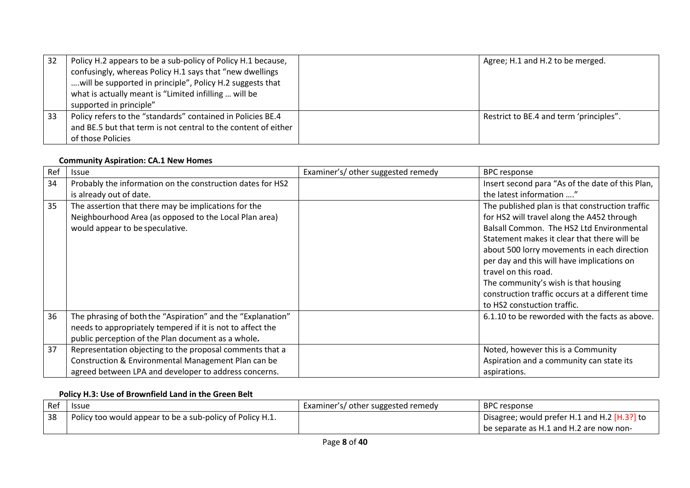| -32 | Policy H.2 appears to be a sub-policy of Policy H.1 because,<br>confusingly, whereas Policy H.1 says that "new dwellings<br>will be supported in principle", Policy H.2 suggests that<br>what is actually meant is "Limited infilling  will be<br>supported in principle" | Agree; H.1 and H.2 to be merged.        |
|-----|---------------------------------------------------------------------------------------------------------------------------------------------------------------------------------------------------------------------------------------------------------------------------|-----------------------------------------|
| 33  | Policy refers to the "standards" contained in Policies BE.4<br>and BE.5 but that term is not central to the content of either<br>of those Policies                                                                                                                        | Restrict to BE.4 and term 'principles". |

#### **Community Aspiration: CA.1 New Homes**

| Ref | <b>Issue</b>                                                | Examiner's/ other suggested remedy | <b>BPC response</b>                              |
|-----|-------------------------------------------------------------|------------------------------------|--------------------------------------------------|
| 34  | Probably the information on the construction dates for HS2  |                                    | Insert second para "As of the date of this Plan, |
|     | is already out of date.                                     |                                    | the latest information "                         |
| 35  | The assertion that there may be implications for the        |                                    | The published plan is that construction traffic  |
|     | Neighbourhood Area (as opposed to the Local Plan area)      |                                    | for HS2 will travel along the A452 through       |
|     | would appear to be speculative.                             |                                    | Balsall Common. The HS2 Ltd Environmental        |
|     |                                                             |                                    | Statement makes it clear that there will be      |
|     |                                                             |                                    | about 500 lorry movements in each direction      |
|     |                                                             |                                    | per day and this will have implications on       |
|     |                                                             |                                    | travel on this road.                             |
|     |                                                             |                                    | The community's wish is that housing             |
|     |                                                             |                                    | construction traffic occurs at a different time  |
|     |                                                             |                                    | to HS2 constuction traffic.                      |
| 36  | The phrasing of both the "Aspiration" and the "Explanation" |                                    | 6.1.10 to be reworded with the facts as above.   |
|     | needs to appropriately tempered if it is not to affect the  |                                    |                                                  |
|     | public perception of the Plan document as a whole.          |                                    |                                                  |
| 37  | Representation objecting to the proposal comments that a    |                                    | Noted, however this is a Community               |
|     | Construction & Environmental Management Plan can be         |                                    | Aspiration and a community can state its         |
|     | agreed between LPA and developer to address concerns.       |                                    | aspirations.                                     |

#### **Policy H.3: Use of Brownfield Land in the Green Belt**

| Ref | <b>Issue</b>                                              | Examiner's/ other suggested remedy | <b>BPC</b> response                            |
|-----|-----------------------------------------------------------|------------------------------------|------------------------------------------------|
| 38  | Policy too would appear to be a sub-policy of Policy H.1. |                                    | Disagree; would prefer H.1 and H.2 $[H.3?]$ to |
|     |                                                           |                                    | be separate as H.1 and H.2 are now non-        |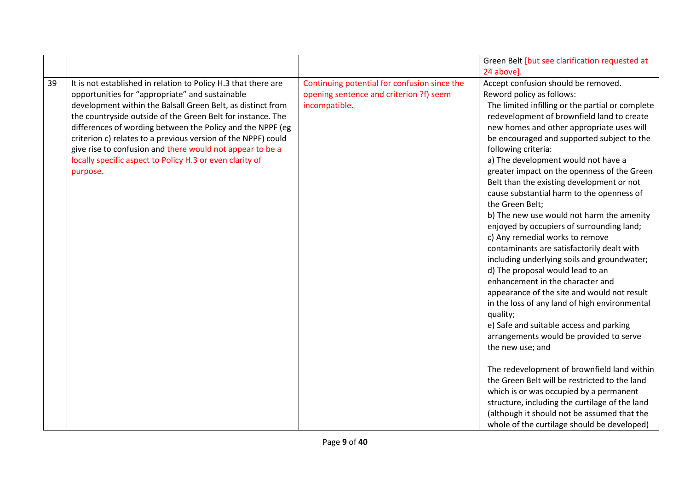|    |                                                                                                                                                                                                                                                                                                                                                                                                                                                                                                                     |                                                                                                          | Green Belt [but see clarification requested at                                                                                                                                                                                                                                                                                                                                                                                                                                                                                                                                                                                                                                                                                                                                                                                                                                                                                                                                                                                                                 |
|----|---------------------------------------------------------------------------------------------------------------------------------------------------------------------------------------------------------------------------------------------------------------------------------------------------------------------------------------------------------------------------------------------------------------------------------------------------------------------------------------------------------------------|----------------------------------------------------------------------------------------------------------|----------------------------------------------------------------------------------------------------------------------------------------------------------------------------------------------------------------------------------------------------------------------------------------------------------------------------------------------------------------------------------------------------------------------------------------------------------------------------------------------------------------------------------------------------------------------------------------------------------------------------------------------------------------------------------------------------------------------------------------------------------------------------------------------------------------------------------------------------------------------------------------------------------------------------------------------------------------------------------------------------------------------------------------------------------------|
|    |                                                                                                                                                                                                                                                                                                                                                                                                                                                                                                                     |                                                                                                          | 24 above].                                                                                                                                                                                                                                                                                                                                                                                                                                                                                                                                                                                                                                                                                                                                                                                                                                                                                                                                                                                                                                                     |
| 39 | It is not established in relation to Policy H.3 that there are<br>opportunities for "appropriate" and sustainable<br>development within the Balsall Green Belt, as distinct from<br>the countryside outside of the Green Belt for instance. The<br>differences of wording between the Policy and the NPPF (eg<br>criterion c) relates to a previous version of the NPPF) could<br>give rise to confusion and there would not appear to be a<br>locally specific aspect to Policy H.3 or even clarity of<br>purpose. | Continuing potential for confusion since the<br>opening sentence and criterion ?f) seem<br>incompatible. | Accept confusion should be removed.<br>Reword policy as follows:<br>The limited infilling or the partial or complete<br>redevelopment of brownfield land to create<br>new homes and other appropriate uses will<br>be encouraged and supported subject to the<br>following criteria:<br>a) The development would not have a<br>greater impact on the openness of the Green<br>Belt than the existing development or not<br>cause substantial harm to the openness of<br>the Green Belt;<br>b) The new use would not harm the amenity<br>enjoyed by occupiers of surrounding land;<br>c) Any remedial works to remove<br>contaminants are satisfactorily dealt with<br>including underlying soils and groundwater;<br>d) The proposal would lead to an<br>enhancement in the character and<br>appearance of the site and would not result<br>in the loss of any land of high environmental<br>quality;<br>e) Safe and suitable access and parking<br>arrangements would be provided to serve<br>the new use; and<br>The redevelopment of brownfield land within |
|    |                                                                                                                                                                                                                                                                                                                                                                                                                                                                                                                     |                                                                                                          | the Green Belt will be restricted to the land<br>which is or was occupied by a permanent<br>structure, including the curtilage of the land<br>(although it should not be assumed that the                                                                                                                                                                                                                                                                                                                                                                                                                                                                                                                                                                                                                                                                                                                                                                                                                                                                      |
|    |                                                                                                                                                                                                                                                                                                                                                                                                                                                                                                                     |                                                                                                          | whole of the curtilage should be developed)                                                                                                                                                                                                                                                                                                                                                                                                                                                                                                                                                                                                                                                                                                                                                                                                                                                                                                                                                                                                                    |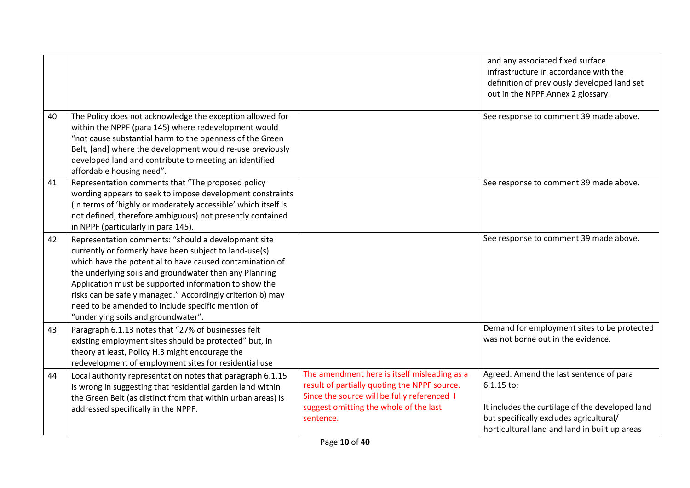|    |                                                                                                                                                                                                                                                                                                                                                                                                                                                        |                                                                                                                                                                                                    | and any associated fixed surface<br>infrastructure in accordance with the<br>definition of previously developed land set<br>out in the NPPF Annex 2 glossary.                                        |
|----|--------------------------------------------------------------------------------------------------------------------------------------------------------------------------------------------------------------------------------------------------------------------------------------------------------------------------------------------------------------------------------------------------------------------------------------------------------|----------------------------------------------------------------------------------------------------------------------------------------------------------------------------------------------------|------------------------------------------------------------------------------------------------------------------------------------------------------------------------------------------------------|
| 40 | The Policy does not acknowledge the exception allowed for<br>within the NPPF (para 145) where redevelopment would<br>"not cause substantial harm to the openness of the Green<br>Belt, [and] where the development would re-use previously<br>developed land and contribute to meeting an identified<br>affordable housing need".                                                                                                                      |                                                                                                                                                                                                    | See response to comment 39 made above.                                                                                                                                                               |
| 41 | Representation comments that "The proposed policy<br>wording appears to seek to impose development constraints<br>(in terms of 'highly or moderately accessible' which itself is<br>not defined, therefore ambiguous) not presently contained<br>in NPPF (particularly in para 145).                                                                                                                                                                   |                                                                                                                                                                                                    | See response to comment 39 made above.                                                                                                                                                               |
| 42 | Representation comments: "should a development site<br>currently or formerly have been subject to land-use(s)<br>which have the potential to have caused contamination of<br>the underlying soils and groundwater then any Planning<br>Application must be supported information to show the<br>risks can be safely managed." Accordingly criterion b) may<br>need to be amended to include specific mention of<br>"underlying soils and groundwater". |                                                                                                                                                                                                    | See response to comment 39 made above.                                                                                                                                                               |
| 43 | Paragraph 6.1.13 notes that "27% of businesses felt<br>existing employment sites should be protected" but, in<br>theory at least, Policy H.3 might encourage the<br>redevelopment of employment sites for residential use                                                                                                                                                                                                                              |                                                                                                                                                                                                    | Demand for employment sites to be protected<br>was not borne out in the evidence.                                                                                                                    |
| 44 | Local authority representation notes that paragraph 6.1.15<br>is wrong in suggesting that residential garden land within<br>the Green Belt (as distinct from that within urban areas) is<br>addressed specifically in the NPPF.                                                                                                                                                                                                                        | The amendment here is itself misleading as a<br>result of partially quoting the NPPF source.<br>Since the source will be fully referenced I<br>suggest omitting the whole of the last<br>sentence. | Agreed. Amend the last sentence of para<br>6.1.15 to:<br>It includes the curtilage of the developed land<br>but specifically excludes agricultural/<br>horticultural land and land in built up areas |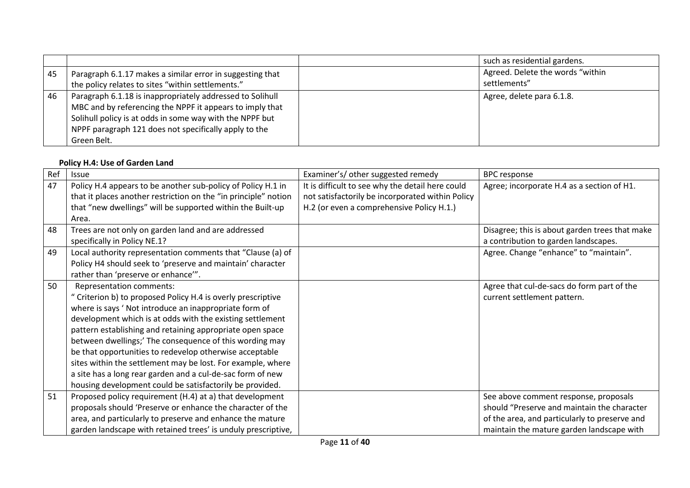|    |                                                                                                                                                                                                                                                           | such as residential gardens.                     |
|----|-----------------------------------------------------------------------------------------------------------------------------------------------------------------------------------------------------------------------------------------------------------|--------------------------------------------------|
| 45 | Paragraph 6.1.17 makes a similar error in suggesting that<br>the policy relates to sites "within settlements."                                                                                                                                            | Agreed. Delete the words "within<br>settlements" |
| 46 | Paragraph 6.1.18 is inappropriately addressed to Solihull<br>MBC and by referencing the NPPF it appears to imply that<br>Solihull policy is at odds in some way with the NPPF but<br>NPPF paragraph 121 does not specifically apply to the<br>Green Belt. | Agree, delete para 6.1.8.                        |

## **Policy H.4: Use of Garden Land**

| Ref | Issue                                                           | Examiner's/ other suggested remedy               | <b>BPC</b> response                            |
|-----|-----------------------------------------------------------------|--------------------------------------------------|------------------------------------------------|
| 47  | Policy H.4 appears to be another sub-policy of Policy H.1 in    | It is difficult to see why the detail here could | Agree; incorporate H.4 as a section of H1.     |
|     | that it places another restriction on the "in principle" notion | not satisfactorily be incorporated within Policy |                                                |
|     | that "new dwellings" will be supported within the Built-up      | H.2 (or even a comprehensive Policy H.1.)        |                                                |
|     | Area.                                                           |                                                  |                                                |
| 48  | Trees are not only on garden land and are addressed             |                                                  | Disagree; this is about garden trees that make |
|     | specifically in Policy NE.1?                                    |                                                  | a contribution to garden landscapes.           |
| 49  | Local authority representation comments that "Clause (a) of     |                                                  | Agree. Change "enhance" to "maintain".         |
|     | Policy H4 should seek to 'preserve and maintain' character      |                                                  |                                                |
|     | rather than 'preserve or enhance'".                             |                                                  |                                                |
| 50  | Representation comments:                                        |                                                  | Agree that cul-de-sacs do form part of the     |
|     | " Criterion b) to proposed Policy H.4 is overly prescriptive    |                                                  | current settlement pattern.                    |
|     | where is says 'Not introduce an inappropriate form of           |                                                  |                                                |
|     | development which is at odds with the existing settlement       |                                                  |                                                |
|     | pattern establishing and retaining appropriate open space       |                                                  |                                                |
|     | between dwellings;' The consequence of this wording may         |                                                  |                                                |
|     | be that opportunities to redevelop otherwise acceptable         |                                                  |                                                |
|     | sites within the settlement may be lost. For example, where     |                                                  |                                                |
|     | a site has a long rear garden and a cul-de-sac form of new      |                                                  |                                                |
|     | housing development could be satisfactorily be provided.        |                                                  |                                                |
| 51  | Proposed policy requirement (H.4) at a) that development        |                                                  | See above comment response, proposals          |
|     | proposals should 'Preserve or enhance the character of the      |                                                  | should "Preserve and maintain the character    |
|     | area, and particularly to preserve and enhance the mature       |                                                  | of the area, and particularly to preserve and  |
|     | garden landscape with retained trees' is unduly prescriptive,   |                                                  | maintain the mature garden landscape with      |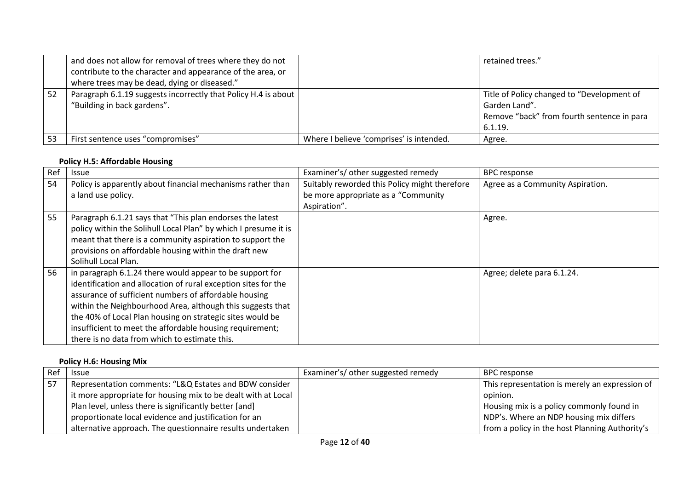|    | and does not allow for removal of trees where they do not<br>contribute to the character and appearance of the area, or<br>where trees may be dead, dying or diseased." |                                          | retained trees."                                                                                                     |
|----|-------------------------------------------------------------------------------------------------------------------------------------------------------------------------|------------------------------------------|----------------------------------------------------------------------------------------------------------------------|
| 52 | Paragraph 6.1.19 suggests incorrectly that Policy H.4 is about<br>"Building in back gardens".                                                                           |                                          | Title of Policy changed to "Development of<br>Garden Land".<br>Remove "back" from fourth sentence in para<br>6.1.19. |
| 53 | First sentence uses "compromises"                                                                                                                                       | Where I believe 'comprises' is intended. | Agree.                                                                                                               |

#### **Policy H.5: Affordable Housing**

| Ref | <b>Issue</b>                                                    | Examiner's/ other suggested remedy            | <b>BPC</b> response              |
|-----|-----------------------------------------------------------------|-----------------------------------------------|----------------------------------|
| 54  | Policy is apparently about financial mechanisms rather than     | Suitably reworded this Policy might therefore | Agree as a Community Aspiration. |
|     | a land use policy.                                              | be more appropriate as a "Community           |                                  |
|     |                                                                 | Aspiration".                                  |                                  |
| 55  | Paragraph 6.1.21 says that "This plan endorses the latest       |                                               | Agree.                           |
|     | policy within the Solihull Local Plan" by which I presume it is |                                               |                                  |
|     | meant that there is a community aspiration to support the       |                                               |                                  |
|     | provisions on affordable housing within the draft new           |                                               |                                  |
|     | Solihull Local Plan.                                            |                                               |                                  |
| 56  | in paragraph 6.1.24 there would appear to be support for        |                                               | Agree; delete para 6.1.24.       |
|     | identification and allocation of rural exception sites for the  |                                               |                                  |
|     | assurance of sufficient numbers of affordable housing           |                                               |                                  |
|     | within the Neighbourhood Area, although this suggests that      |                                               |                                  |
|     | the 40% of Local Plan housing on strategic sites would be       |                                               |                                  |
|     | insufficient to meet the affordable housing requirement;        |                                               |                                  |
|     | there is no data from which to estimate this.                   |                                               |                                  |

## **Policy H.6: Housing Mix**

| Ref | <b>Issue</b>                                                  | Examiner's/ other suggested remedy | BPC response                                   |
|-----|---------------------------------------------------------------|------------------------------------|------------------------------------------------|
| -57 | Representation comments: "L&Q Estates and BDW consider        |                                    | This representation is merely an expression of |
|     | it more appropriate for housing mix to be dealt with at Local |                                    | opinion.                                       |
|     | Plan level, unless there is significantly better [and]        |                                    | Housing mix is a policy commonly found in      |
|     | proportionate local evidence and justification for an         |                                    | NDP's. Where an NDP housing mix differs        |
|     | alternative approach. The questionnaire results undertaken    |                                    | from a policy in the host Planning Authority's |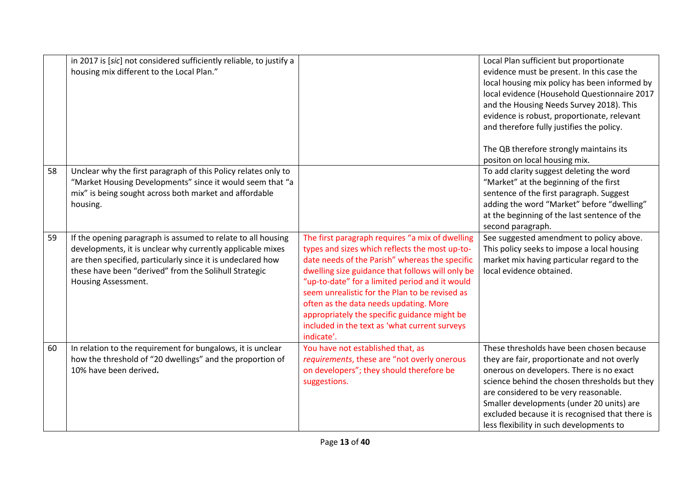|    | in 2017 is [sic] not considered sufficiently reliable, to justify a<br>housing mix different to the Local Plan."                                                                                                                                                          |                                                                                                                                                                                                                                                                                                                                                                                                                                                                      | Local Plan sufficient but proportionate<br>evidence must be present. In this case the<br>local housing mix policy has been informed by<br>local evidence (Household Questionnaire 2017<br>and the Housing Needs Survey 2018). This<br>evidence is robust, proportionate, relevant<br>and therefore fully justifies the policy.<br>The QB therefore strongly maintains its<br>positon on local housing mix. |
|----|---------------------------------------------------------------------------------------------------------------------------------------------------------------------------------------------------------------------------------------------------------------------------|----------------------------------------------------------------------------------------------------------------------------------------------------------------------------------------------------------------------------------------------------------------------------------------------------------------------------------------------------------------------------------------------------------------------------------------------------------------------|------------------------------------------------------------------------------------------------------------------------------------------------------------------------------------------------------------------------------------------------------------------------------------------------------------------------------------------------------------------------------------------------------------|
| 58 | Unclear why the first paragraph of this Policy relates only to<br>"Market Housing Developments" since it would seem that "a<br>mix" is being sought across both market and affordable<br>housing.                                                                         |                                                                                                                                                                                                                                                                                                                                                                                                                                                                      | To add clarity suggest deleting the word<br>"Market" at the beginning of the first<br>sentence of the first paragraph. Suggest<br>adding the word "Market" before "dwelling"<br>at the beginning of the last sentence of the<br>second paragraph.                                                                                                                                                          |
| 59 | If the opening paragraph is assumed to relate to all housing<br>developments, it is unclear why currently applicable mixes<br>are then specified, particularly since it is undeclared how<br>these have been "derived" from the Solihull Strategic<br>Housing Assessment. | The first paragraph requires "a mix of dwelling<br>types and sizes which reflects the most up-to-<br>date needs of the Parish" whereas the specific<br>dwelling size guidance that follows will only be<br>"up-to-date" for a limited period and it would<br>seem unrealistic for the Plan to be revised as<br>often as the data needs updating. More<br>appropriately the specific guidance might be<br>included in the text as 'what current surveys<br>indicate'. | See suggested amendment to policy above.<br>This policy seeks to impose a local housing<br>market mix having particular regard to the<br>local evidence obtained.                                                                                                                                                                                                                                          |
| 60 | In relation to the requirement for bungalows, it is unclear<br>how the threshold of "20 dwellings" and the proportion of<br>10% have been derived.                                                                                                                        | You have not established that, as<br>requirements, these are "not overly onerous<br>on developers"; they should therefore be<br>suggestions.                                                                                                                                                                                                                                                                                                                         | These thresholds have been chosen because<br>they are fair, proportionate and not overly<br>onerous on developers. There is no exact<br>science behind the chosen thresholds but they<br>are considered to be very reasonable.<br>Smaller developments (under 20 units) are<br>excluded because it is recognised that there is<br>less flexibility in such developments to                                 |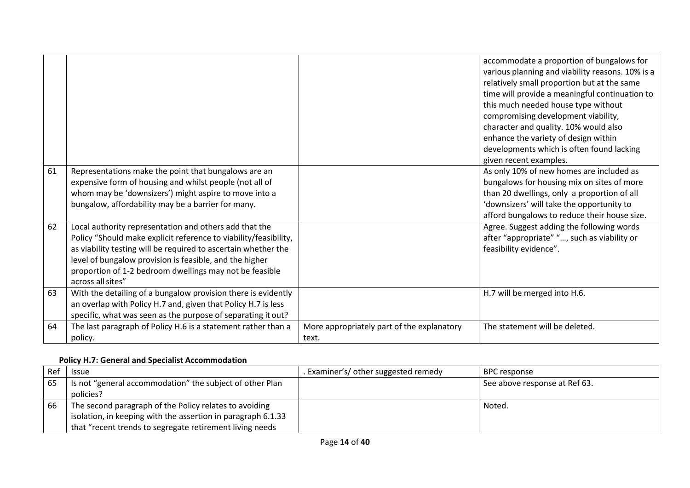|    |                                                                                                                                                                                                                                                                                                                                         |                                                     | accommodate a proportion of bungalows for<br>various planning and viability reasons. 10% is a<br>relatively small proportion but at the same<br>time will provide a meaningful continuation to<br>this much needed house type without<br>compromising development viability,<br>character and quality. 10% would also<br>enhance the variety of design within<br>developments which is often found lacking<br>given recent examples. |
|----|-----------------------------------------------------------------------------------------------------------------------------------------------------------------------------------------------------------------------------------------------------------------------------------------------------------------------------------------|-----------------------------------------------------|--------------------------------------------------------------------------------------------------------------------------------------------------------------------------------------------------------------------------------------------------------------------------------------------------------------------------------------------------------------------------------------------------------------------------------------|
| 61 | Representations make the point that bungalows are an<br>expensive form of housing and whilst people (not all of<br>whom may be 'downsizers') might aspire to move into a<br>bungalow, affordability may be a barrier for many.                                                                                                          |                                                     | As only 10% of new homes are included as<br>bungalows for housing mix on sites of more<br>than 20 dwellings, only a proportion of all<br>'downsizers' will take the opportunity to<br>afford bungalows to reduce their house size.                                                                                                                                                                                                   |
| 62 | Local authority representation and others add that the<br>Policy "Should make explicit reference to viability/feasibility,<br>as viability testing will be required to ascertain whether the<br>level of bungalow provision is feasible, and the higher<br>proportion of 1-2 bedroom dwellings may not be feasible<br>across all sites" |                                                     | Agree. Suggest adding the following words<br>after "appropriate" ", such as viability or<br>feasibility evidence".                                                                                                                                                                                                                                                                                                                   |
| 63 | With the detailing of a bungalow provision there is evidently<br>an overlap with Policy H.7 and, given that Policy H.7 is less<br>specific, what was seen as the purpose of separating it out?                                                                                                                                          |                                                     | H.7 will be merged into H.6.                                                                                                                                                                                                                                                                                                                                                                                                         |
| 64 | The last paragraph of Policy H.6 is a statement rather than a<br>policy.                                                                                                                                                                                                                                                                | More appropriately part of the explanatory<br>text. | The statement will be deleted.                                                                                                                                                                                                                                                                                                                                                                                                       |

# **Policy H.7: General and Specialist Accommodation**

| Ref | <b>Issue</b>                                                 | Examiner's/ other suggested remedy | BPC response                  |
|-----|--------------------------------------------------------------|------------------------------------|-------------------------------|
| 65  | Is not "general accommodation" the subject of other Plan     |                                    | See above response at Ref 63. |
|     | policies?                                                    |                                    |                               |
| 66  | The second paragraph of the Policy relates to avoiding       |                                    | Noted.                        |
|     | isolation, in keeping with the assertion in paragraph 6.1.33 |                                    |                               |
|     | that "recent trends to segregate retirement living needs     |                                    |                               |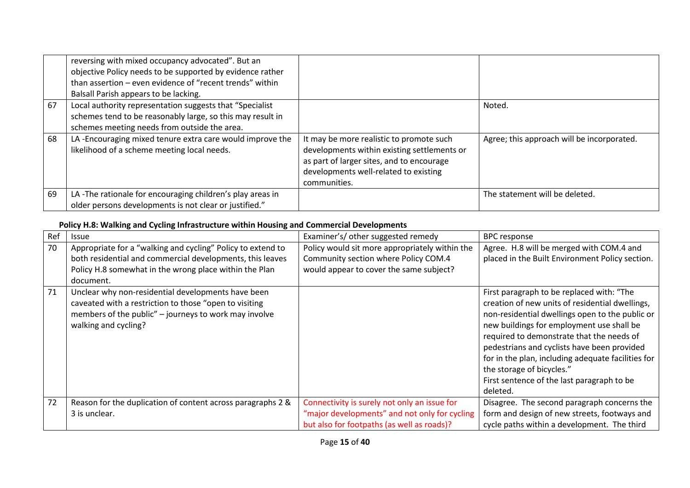|    | reversing with mixed occupancy advocated". But an<br>objective Policy needs to be supported by evidence rather<br>than assertion – even evidence of "recent trends" within<br>Balsall Parish appears to be lacking. |                                                                                                                                                                                               |                                            |
|----|---------------------------------------------------------------------------------------------------------------------------------------------------------------------------------------------------------------------|-----------------------------------------------------------------------------------------------------------------------------------------------------------------------------------------------|--------------------------------------------|
| 67 | Local authority representation suggests that "Specialist<br>schemes tend to be reasonably large, so this may result in<br>schemes meeting needs from outside the area.                                              |                                                                                                                                                                                               | Noted.                                     |
| 68 | LA-Encouraging mixed tenure extra care would improve the<br>likelihood of a scheme meeting local needs.                                                                                                             | It may be more realistic to promote such<br>developments within existing settlements or<br>as part of larger sites, and to encourage<br>developments well-related to existing<br>communities. | Agree; this approach will be incorporated. |
| 69 | LA-The rationale for encouraging children's play areas in<br>older persons developments is not clear or justified."                                                                                                 |                                                                                                                                                                                               | The statement will be deleted.             |

## **Policy H.8: Walking and Cycling Infrastructure within Housing and Commercial Developments**

| Ref | <b>Issue</b>                                                                                                                                                                                  | Examiner's/ other suggested remedy                                                                                                          | <b>BPC</b> response                                                                                                                                                                                                                                                                                                                                                                                                                   |
|-----|-----------------------------------------------------------------------------------------------------------------------------------------------------------------------------------------------|---------------------------------------------------------------------------------------------------------------------------------------------|---------------------------------------------------------------------------------------------------------------------------------------------------------------------------------------------------------------------------------------------------------------------------------------------------------------------------------------------------------------------------------------------------------------------------------------|
| 70  | Appropriate for a "walking and cycling" Policy to extend to                                                                                                                                   | Policy would sit more appropriately within the                                                                                              | Agree. H.8 will be merged with COM.4 and                                                                                                                                                                                                                                                                                                                                                                                              |
|     | both residential and commercial developments, this leaves                                                                                                                                     | Community section where Policy COM.4                                                                                                        | placed in the Built Environment Policy section.                                                                                                                                                                                                                                                                                                                                                                                       |
|     | Policy H.8 somewhat in the wrong place within the Plan                                                                                                                                        | would appear to cover the same subject?                                                                                                     |                                                                                                                                                                                                                                                                                                                                                                                                                                       |
|     | document.                                                                                                                                                                                     |                                                                                                                                             |                                                                                                                                                                                                                                                                                                                                                                                                                                       |
| 71  | Unclear why non-residential developments have been<br>caveated with a restriction to those "open to visiting<br>members of the public" - journeys to work may involve<br>walking and cycling? |                                                                                                                                             | First paragraph to be replaced with: "The<br>creation of new units of residential dwellings,<br>non-residential dwellings open to the public or<br>new buildings for employment use shall be<br>required to demonstrate that the needs of<br>pedestrians and cyclists have been provided<br>for in the plan, including adequate facilities for<br>the storage of bicycles."<br>First sentence of the last paragraph to be<br>deleted. |
| 72  | Reason for the duplication of content across paragraphs 2 &<br>3 is unclear.                                                                                                                  | Connectivity is surely not only an issue for<br>"major developments" and not only for cycling<br>but also for footpaths (as well as roads)? | Disagree. The second paragraph concerns the<br>form and design of new streets, footways and<br>cycle paths within a development. The third                                                                                                                                                                                                                                                                                            |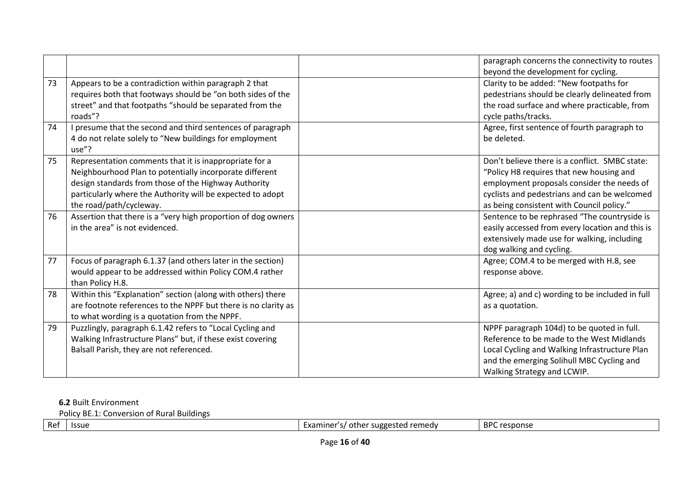|    |                                                                                                                                                                                                                                                                    | paragraph concerns the connectivity to routes<br>beyond the development for cycling.                                                                                                                                                  |
|----|--------------------------------------------------------------------------------------------------------------------------------------------------------------------------------------------------------------------------------------------------------------------|---------------------------------------------------------------------------------------------------------------------------------------------------------------------------------------------------------------------------------------|
| 73 | Appears to be a contradiction within paragraph 2 that<br>requires both that footways should be "on both sides of the<br>street" and that footpaths "should be separated from the<br>roads"?                                                                        | Clarity to be added: "New footpaths for<br>pedestrians should be clearly delineated from<br>the road surface and where practicable, from<br>cycle paths/tracks.                                                                       |
| 74 | I presume that the second and third sentences of paragraph<br>4 do not relate solely to "New buildings for employment<br>use"?                                                                                                                                     | Agree, first sentence of fourth paragraph to<br>be deleted.                                                                                                                                                                           |
| 75 | Representation comments that it is inappropriate for a<br>Neighbourhood Plan to potentially incorporate different<br>design standards from those of the Highway Authority<br>particularly where the Authority will be expected to adopt<br>the road/path/cycleway. | Don't believe there is a conflict. SMBC state:<br>"Policy H8 requires that new housing and<br>employment proposals consider the needs of<br>cyclists and pedestrians and can be welcomed<br>as being consistent with Council policy." |
| 76 | Assertion that there is a "very high proportion of dog owners<br>in the area" is not evidenced.                                                                                                                                                                    | Sentence to be rephrased "The countryside is<br>easily accessed from every location and this is<br>extensively made use for walking, including<br>dog walking and cycling.                                                            |
| 77 | Focus of paragraph 6.1.37 (and others later in the section)<br>would appear to be addressed within Policy COM.4 rather<br>than Policy H.8.                                                                                                                         | Agree; COM.4 to be merged with H.8, see<br>response above.                                                                                                                                                                            |
| 78 | Within this "Explanation" section (along with others) there<br>are footnote references to the NPPF but there is no clarity as<br>to what wording is a quotation from the NPPF.                                                                                     | Agree; a) and c) wording to be included in full<br>as a quotation.                                                                                                                                                                    |
| 79 | Puzzlingly, paragraph 6.1.42 refers to "Local Cycling and<br>Walking Infrastructure Plans" but, if these exist covering<br>Balsall Parish, they are not referenced.                                                                                                | NPPF paragraph 104d) to be quoted in full.<br>Reference to be made to the West Midlands<br>Local Cycling and Walking Infrastructure Plan<br>and the emerging Solihull MBC Cycling and<br>Walking Strategy and LCWIP.                  |

# **6.2** Built Environment

Policy BE.1: Conversion of Rural Buildings

| Ref | <b>Issue</b> | romodu<br>Examıner<br>other<br>engger.<br>. Ellicu'<br>------<br>ັບ | BPC<br>response |
|-----|--------------|---------------------------------------------------------------------|-----------------|
|     |              |                                                                     |                 |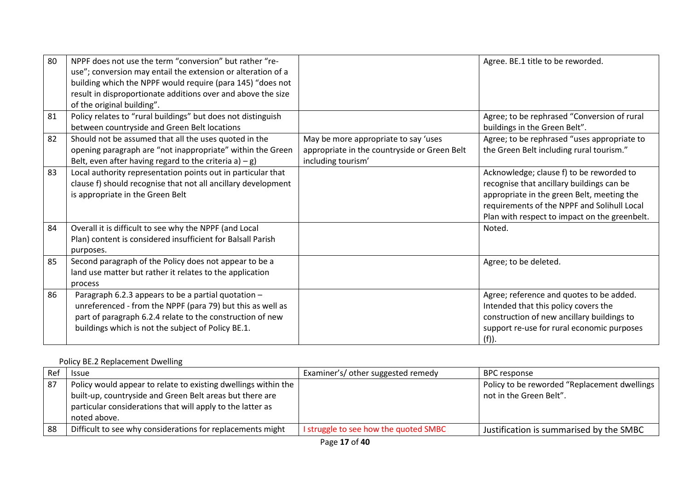| 80 | NPPF does not use the term "conversion" but rather "re-<br>use"; conversion may entail the extension or alteration of a<br>building which the NPPF would require (para 145) "does not<br>result in disproportionate additions over and above the size<br>of the original building". |                                                                                                            | Agree. BE.1 title to be reworded.                                                                                                                                                                                                   |
|----|-------------------------------------------------------------------------------------------------------------------------------------------------------------------------------------------------------------------------------------------------------------------------------------|------------------------------------------------------------------------------------------------------------|-------------------------------------------------------------------------------------------------------------------------------------------------------------------------------------------------------------------------------------|
| 81 | Policy relates to "rural buildings" but does not distinguish<br>between countryside and Green Belt locations                                                                                                                                                                        |                                                                                                            | Agree; to be rephrased "Conversion of rural<br>buildings in the Green Belt".                                                                                                                                                        |
| 82 | Should not be assumed that all the uses quoted in the<br>opening paragraph are "not inappropriate" within the Green<br>Belt, even after having regard to the criteria a) $-g$ )                                                                                                     | May be more appropriate to say 'uses<br>appropriate in the countryside or Green Belt<br>including tourism' | Agree; to be rephrased "uses appropriate to<br>the Green Belt including rural tourism."                                                                                                                                             |
| 83 | Local authority representation points out in particular that<br>clause f) should recognise that not all ancillary development<br>is appropriate in the Green Belt                                                                                                                   |                                                                                                            | Acknowledge; clause f) to be reworded to<br>recognise that ancillary buildings can be<br>appropriate in the green Belt, meeting the<br>requirements of the NPPF and Solihull Local<br>Plan with respect to impact on the greenbelt. |
| 84 | Overall it is difficult to see why the NPPF (and Local<br>Plan) content is considered insufficient for Balsall Parish<br>purposes.                                                                                                                                                  |                                                                                                            | Noted.                                                                                                                                                                                                                              |
| 85 | Second paragraph of the Policy does not appear to be a<br>land use matter but rather it relates to the application<br>process                                                                                                                                                       |                                                                                                            | Agree; to be deleted.                                                                                                                                                                                                               |
| 86 | Paragraph 6.2.3 appears to be a partial quotation -<br>unreferenced - from the NPPF (para 79) but this as well as<br>part of paragraph 6.2.4 relate to the construction of new<br>buildings which is not the subject of Policy BE.1.                                                |                                                                                                            | Agree; reference and quotes to be added.<br>Intended that this policy covers the<br>construction of new ancillary buildings to<br>support re-use for rural economic purposes<br>(f)).                                               |

## Policy BE.2 Replacement Dwelling

| Rei | <b>Issue</b>                                                                                                                                                                                             | Examiner's/ other suggested remedy    | <b>BPC</b> response                                                     |
|-----|----------------------------------------------------------------------------------------------------------------------------------------------------------------------------------------------------------|---------------------------------------|-------------------------------------------------------------------------|
| 87  | Policy would appear to relate to existing dwellings within the<br>built-up, countryside and Green Belt areas but there are<br>particular considerations that will apply to the latter as<br>noted above. |                                       | Policy to be reworded "Replacement dwellings<br>not in the Green Belt". |
| 88  | Difficult to see why considerations for replacements might                                                                                                                                               | I struggle to see how the quoted SMBC | Justification is summarised by the SMBC                                 |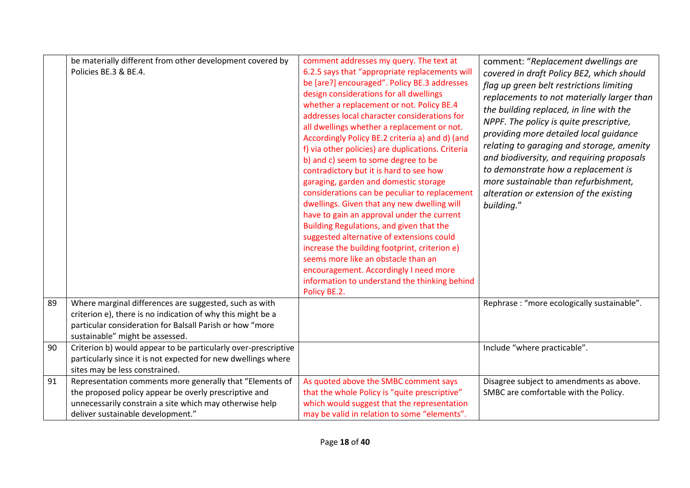|    | be materially different from other development covered by<br>Policies BE.3 & BE.4.                                                                                                                                   | comment addresses my query. The text at<br>6.2.5 says that "appropriate replacements will<br>be [are?] encouraged". Policy BE.3 addresses<br>design considerations for all dwellings<br>whether a replacement or not. Policy BE.4<br>addresses local character considerations for<br>all dwellings whether a replacement or not.<br>Accordingly Policy BE.2 criteria a) and d) (and<br>f) via other policies) are duplications. Criteria<br>b) and c) seem to some degree to be<br>contradictory but it is hard to see how<br>garaging, garden and domestic storage<br>considerations can be peculiar to replacement<br>dwellings. Given that any new dwelling will<br>have to gain an approval under the current<br>Building Regulations, and given that the<br>suggested alternative of extensions could<br>increase the building footprint, criterion e)<br>seems more like an obstacle than an<br>encouragement. Accordingly I need more<br>information to understand the thinking behind | comment: "Replacement dwellings are<br>covered in draft Policy BE2, which should<br>flag up green belt restrictions limiting<br>replacements to not materially larger than<br>the building replaced, in line with the<br>NPPF. The policy is quite prescriptive,<br>providing more detailed local quidance<br>relating to garaging and storage, amenity<br>and biodiversity, and requiring proposals<br>to demonstrate how a replacement is<br>more sustainable than refurbishment,<br>alteration or extension of the existing<br>building." |
|----|----------------------------------------------------------------------------------------------------------------------------------------------------------------------------------------------------------------------|-----------------------------------------------------------------------------------------------------------------------------------------------------------------------------------------------------------------------------------------------------------------------------------------------------------------------------------------------------------------------------------------------------------------------------------------------------------------------------------------------------------------------------------------------------------------------------------------------------------------------------------------------------------------------------------------------------------------------------------------------------------------------------------------------------------------------------------------------------------------------------------------------------------------------------------------------------------------------------------------------|----------------------------------------------------------------------------------------------------------------------------------------------------------------------------------------------------------------------------------------------------------------------------------------------------------------------------------------------------------------------------------------------------------------------------------------------------------------------------------------------------------------------------------------------|
|    |                                                                                                                                                                                                                      | Policy BE.2.                                                                                                                                                                                                                                                                                                                                                                                                                                                                                                                                                                                                                                                                                                                                                                                                                                                                                                                                                                                  |                                                                                                                                                                                                                                                                                                                                                                                                                                                                                                                                              |
| 89 | Where marginal differences are suggested, such as with<br>criterion e), there is no indication of why this might be a<br>particular consideration for Balsall Parish or how "more<br>sustainable" might be assessed. |                                                                                                                                                                                                                                                                                                                                                                                                                                                                                                                                                                                                                                                                                                                                                                                                                                                                                                                                                                                               | Rephrase : "more ecologically sustainable".                                                                                                                                                                                                                                                                                                                                                                                                                                                                                                  |
| 90 | Criterion b) would appear to be particularly over-prescriptive<br>particularly since it is not expected for new dwellings where<br>sites may be less constrained.                                                    |                                                                                                                                                                                                                                                                                                                                                                                                                                                                                                                                                                                                                                                                                                                                                                                                                                                                                                                                                                                               | Include "where practicable".                                                                                                                                                                                                                                                                                                                                                                                                                                                                                                                 |
| 91 | Representation comments more generally that "Elements of<br>the proposed policy appear be overly prescriptive and<br>unnecessarily constrain a site which may otherwise help<br>deliver sustainable development."    | As quoted above the SMBC comment says<br>that the whole Policy is "quite prescriptive"<br>which would suggest that the representation<br>may be valid in relation to some "elements".                                                                                                                                                                                                                                                                                                                                                                                                                                                                                                                                                                                                                                                                                                                                                                                                         | Disagree subject to amendments as above.<br>SMBC are comfortable with the Policy.                                                                                                                                                                                                                                                                                                                                                                                                                                                            |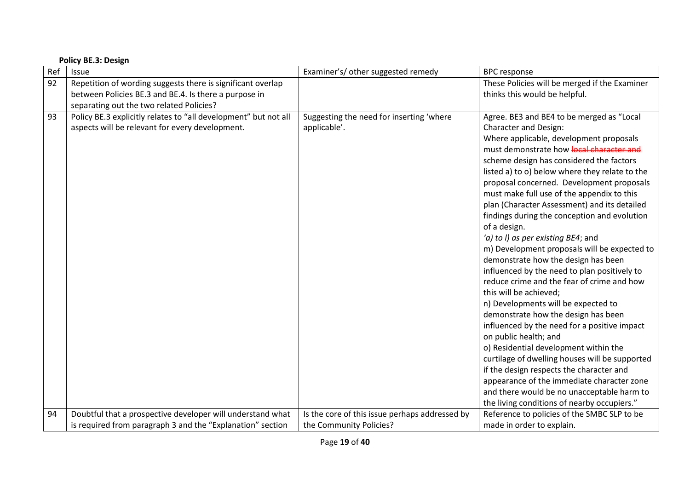|     | <b>Policy BE.3: Design</b>                                                                                                                                       |                                                          |                                                                                                                                                                                                                                                                                                                                                                                                                                                                                                                                                                                                                                                                                                                                                                                                                                                                                                                                                                                                                                                                                                                                                                         |  |  |
|-----|------------------------------------------------------------------------------------------------------------------------------------------------------------------|----------------------------------------------------------|-------------------------------------------------------------------------------------------------------------------------------------------------------------------------------------------------------------------------------------------------------------------------------------------------------------------------------------------------------------------------------------------------------------------------------------------------------------------------------------------------------------------------------------------------------------------------------------------------------------------------------------------------------------------------------------------------------------------------------------------------------------------------------------------------------------------------------------------------------------------------------------------------------------------------------------------------------------------------------------------------------------------------------------------------------------------------------------------------------------------------------------------------------------------------|--|--|
| Ref | Issue                                                                                                                                                            | Examiner's/ other suggested remedy                       | <b>BPC</b> response                                                                                                                                                                                                                                                                                                                                                                                                                                                                                                                                                                                                                                                                                                                                                                                                                                                                                                                                                                                                                                                                                                                                                     |  |  |
| 92  | Repetition of wording suggests there is significant overlap<br>between Policies BE.3 and BE.4. Is there a purpose in<br>separating out the two related Policies? |                                                          | These Policies will be merged if the Examiner<br>thinks this would be helpful.                                                                                                                                                                                                                                                                                                                                                                                                                                                                                                                                                                                                                                                                                                                                                                                                                                                                                                                                                                                                                                                                                          |  |  |
| 93  | Policy BE.3 explicitly relates to "all development" but not all<br>aspects will be relevant for every development.                                               | Suggesting the need for inserting 'where<br>applicable'. | Agree. BE3 and BE4 to be merged as "Local<br><b>Character and Design:</b><br>Where applicable, development proposals<br>must demonstrate how local character and<br>scheme design has considered the factors<br>listed a) to o) below where they relate to the<br>proposal concerned. Development proposals<br>must make full use of the appendix to this<br>plan (Character Assessment) and its detailed<br>findings during the conception and evolution<br>of a design.<br>'a) to I) as per existing BE4; and<br>m) Development proposals will be expected to<br>demonstrate how the design has been<br>influenced by the need to plan positively to<br>reduce crime and the fear of crime and how<br>this will be achieved;<br>n) Developments will be expected to<br>demonstrate how the design has been<br>influenced by the need for a positive impact<br>on public health; and<br>o) Residential development within the<br>curtilage of dwelling houses will be supported<br>if the design respects the character and<br>appearance of the immediate character zone<br>and there would be no unacceptable harm to<br>the living conditions of nearby occupiers." |  |  |
| 94  | Doubtful that a prospective developer will understand what                                                                                                       | Is the core of this issue perhaps addressed by           | Reference to policies of the SMBC SLP to be                                                                                                                                                                                                                                                                                                                                                                                                                                                                                                                                                                                                                                                                                                                                                                                                                                                                                                                                                                                                                                                                                                                             |  |  |
|     | is required from paragraph 3 and the "Explanation" section                                                                                                       | the Community Policies?                                  | made in order to explain.                                                                                                                                                                                                                                                                                                                                                                                                                                                                                                                                                                                                                                                                                                                                                                                                                                                                                                                                                                                                                                                                                                                                               |  |  |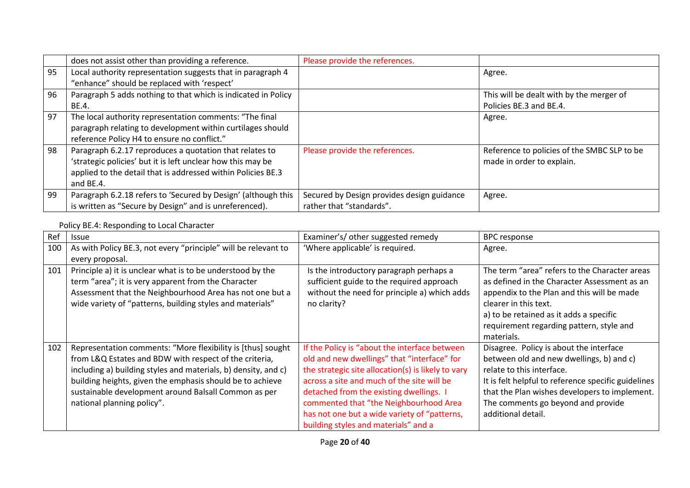|    | does not assist other than providing a reference.             | Please provide the references.             |                                             |
|----|---------------------------------------------------------------|--------------------------------------------|---------------------------------------------|
| 95 | Local authority representation suggests that in paragraph 4   |                                            | Agree.                                      |
|    | "enhance" should be replaced with 'respect'                   |                                            |                                             |
| 96 | Paragraph 5 adds nothing to that which is indicated in Policy |                                            | This will be dealt with by the merger of    |
|    | BE.4.                                                         |                                            | Policies BE.3 and BE.4.                     |
| 97 | The local authority representation comments: "The final       |                                            | Agree.                                      |
|    | paragraph relating to development within curtilages should    |                                            |                                             |
|    | reference Policy H4 to ensure no conflict."                   |                                            |                                             |
| 98 | Paragraph 6.2.17 reproduces a quotation that relates to       | Please provide the references.             | Reference to policies of the SMBC SLP to be |
|    | 'strategic policies' but it is left unclear how this may be   |                                            | made in order to explain.                   |
|    | applied to the detail that is addressed within Policies BE.3  |                                            |                                             |
|    | and BE.4.                                                     |                                            |                                             |
| 99 | Paragraph 6.2.18 refers to 'Secured by Design' (although this | Secured by Design provides design guidance | Agree.                                      |
|    | is written as "Secure by Design" and is unreferenced).        | rather that "standards".                   |                                             |

## Policy BE.4: Responding to Local Character

| Ref | <b>Issue</b>                                                                                                                                                                                                                                                                                                                               | Examiner's/ other suggested remedy                                                                                                                                                                                                                                                                                                                                            | <b>BPC</b> response                                                                                                                                                                                                                                                                  |
|-----|--------------------------------------------------------------------------------------------------------------------------------------------------------------------------------------------------------------------------------------------------------------------------------------------------------------------------------------------|-------------------------------------------------------------------------------------------------------------------------------------------------------------------------------------------------------------------------------------------------------------------------------------------------------------------------------------------------------------------------------|--------------------------------------------------------------------------------------------------------------------------------------------------------------------------------------------------------------------------------------------------------------------------------------|
| 100 | As with Policy BE.3, not every "principle" will be relevant to<br>every proposal.                                                                                                                                                                                                                                                          | 'Where applicable' is required.                                                                                                                                                                                                                                                                                                                                               | Agree.                                                                                                                                                                                                                                                                               |
| 101 | Principle a) it is unclear what is to be understood by the<br>term "area"; it is very apparent from the Character<br>Assessment that the Neighbourhood Area has not one but a<br>wide variety of "patterns, building styles and materials"                                                                                                 | Is the introductory paragraph perhaps a<br>sufficient guide to the required approach<br>without the need for principle a) which adds<br>no clarity?                                                                                                                                                                                                                           | The term "area" refers to the Character areas<br>as defined in the Character Assessment as an<br>appendix to the Plan and this will be made<br>clearer in this text.<br>a) to be retained as it adds a specific<br>requirement regarding pattern, style and<br>materials.            |
| 102 | Representation comments: "More flexibility is [thus] sought<br>from L&Q Estates and BDW with respect of the criteria,<br>including a) building styles and materials, b) density, and c)<br>building heights, given the emphasis should be to achieve<br>sustainable development around Balsall Common as per<br>national planning policy". | If the Policy is "about the interface between<br>old and new dwellings" that "interface" for<br>the strategic site allocation(s) is likely to vary<br>across a site and much of the site will be<br>detached from the existing dwellings. I<br>commented that "the Neighbourhood Area<br>has not one but a wide variety of "patterns,<br>building styles and materials" and a | Disagree. Policy is about the interface<br>between old and new dwellings, b) and c)<br>relate to this interface.<br>It is felt helpful to reference specific guidelines<br>that the Plan wishes developers to implement.<br>The comments go beyond and provide<br>additional detail. |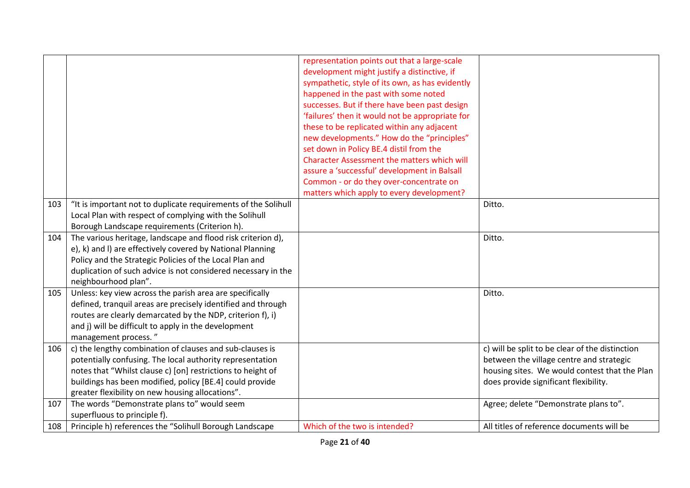|     |                                                                                                                                                                                                                                                                                                      | representation points out that a large-scale<br>development might justify a distinctive, if<br>sympathetic, style of its own, as has evidently<br>happened in the past with some noted<br>successes. But if there have been past design<br>'failures' then it would not be appropriate for<br>these to be replicated within any adjacent<br>new developments." How do the "principles"<br>set down in Policy BE.4 distil from the<br><b>Character Assessment the matters which will</b><br>assure a 'successful' development in Balsall<br>Common - or do they over-concentrate on<br>matters which apply to every development? |                                                                                                                                                                                       |
|-----|------------------------------------------------------------------------------------------------------------------------------------------------------------------------------------------------------------------------------------------------------------------------------------------------------|---------------------------------------------------------------------------------------------------------------------------------------------------------------------------------------------------------------------------------------------------------------------------------------------------------------------------------------------------------------------------------------------------------------------------------------------------------------------------------------------------------------------------------------------------------------------------------------------------------------------------------|---------------------------------------------------------------------------------------------------------------------------------------------------------------------------------------|
| 103 | "It is important not to duplicate requirements of the Solihull<br>Local Plan with respect of complying with the Solihull<br>Borough Landscape requirements (Criterion h).                                                                                                                            |                                                                                                                                                                                                                                                                                                                                                                                                                                                                                                                                                                                                                                 | Ditto.                                                                                                                                                                                |
| 104 | The various heritage, landscape and flood risk criterion d),<br>e), k) and I) are effectively covered by National Planning<br>Policy and the Strategic Policies of the Local Plan and<br>duplication of such advice is not considered necessary in the<br>neighbourhood plan".                       |                                                                                                                                                                                                                                                                                                                                                                                                                                                                                                                                                                                                                                 | Ditto.                                                                                                                                                                                |
| 105 | Unless: key view across the parish area are specifically<br>defined, tranquil areas are precisely identified and through<br>routes are clearly demarcated by the NDP, criterion f), i)<br>and j) will be difficult to apply in the development<br>management process."                               |                                                                                                                                                                                                                                                                                                                                                                                                                                                                                                                                                                                                                                 | Ditto.                                                                                                                                                                                |
| 106 | c) the lengthy combination of clauses and sub-clauses is<br>potentially confusing. The local authority representation<br>notes that "Whilst clause c) [on] restrictions to height of<br>buildings has been modified, policy [BE.4] could provide<br>greater flexibility on new housing allocations". |                                                                                                                                                                                                                                                                                                                                                                                                                                                                                                                                                                                                                                 | c) will be split to be clear of the distinction<br>between the village centre and strategic<br>housing sites. We would contest that the Plan<br>does provide significant flexibility. |
| 107 | The words "Demonstrate plans to" would seem<br>superfluous to principle f).                                                                                                                                                                                                                          |                                                                                                                                                                                                                                                                                                                                                                                                                                                                                                                                                                                                                                 | Agree; delete "Demonstrate plans to".                                                                                                                                                 |
| 108 | Principle h) references the "Solihull Borough Landscape                                                                                                                                                                                                                                              | Which of the two is intended?                                                                                                                                                                                                                                                                                                                                                                                                                                                                                                                                                                                                   | All titles of reference documents will be                                                                                                                                             |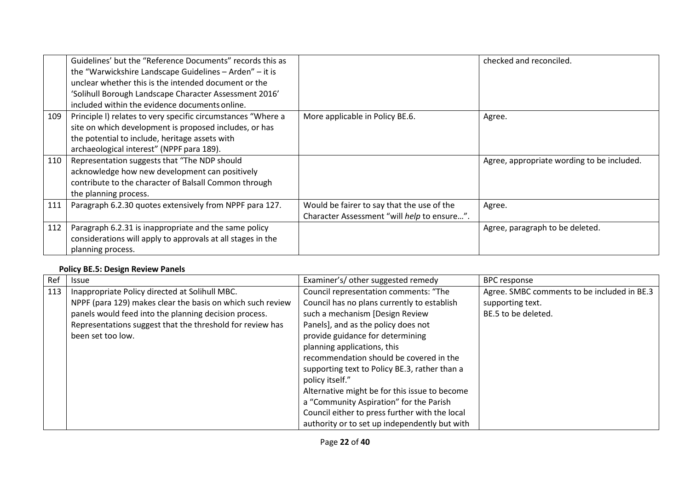|     | Guidelines' but the "Reference Documents" records this as<br>the "Warwickshire Landscape Guidelines - Arden" - it is<br>unclear whether this is the intended document or the<br>'Solihull Borough Landscape Character Assessment 2016'<br>included within the evidence documents online. |                                                                                           | checked and reconciled.                    |
|-----|------------------------------------------------------------------------------------------------------------------------------------------------------------------------------------------------------------------------------------------------------------------------------------------|-------------------------------------------------------------------------------------------|--------------------------------------------|
| 109 | Principle I) relates to very specific circumstances "Where a<br>site on which development is proposed includes, or has<br>the potential to include, heritage assets with<br>archaeological interest" (NPPF para 189).                                                                    | More applicable in Policy BE.6.                                                           | Agree.                                     |
| 110 | Representation suggests that "The NDP should<br>acknowledge how new development can positively<br>contribute to the character of Balsall Common through<br>the planning process.                                                                                                         |                                                                                           | Agree, appropriate wording to be included. |
| 111 | Paragraph 6.2.30 quotes extensively from NPPF para 127.                                                                                                                                                                                                                                  | Would be fairer to say that the use of the<br>Character Assessment "will help to ensure". | Agree.                                     |
| 112 | Paragraph 6.2.31 is inappropriate and the same policy<br>considerations will apply to approvals at all stages in the<br>planning process.                                                                                                                                                |                                                                                           | Agree, paragraph to be deleted.            |

## **Policy BE.5: Design Review Panels**

| Ref | <b>Issue</b>                                               | Examiner's/ other suggested remedy             | <b>BPC</b> response                         |
|-----|------------------------------------------------------------|------------------------------------------------|---------------------------------------------|
| 113 | Inappropriate Policy directed at Solihull MBC.             | Council representation comments: "The          | Agree. SMBC comments to be included in BE.3 |
|     | NPPF (para 129) makes clear the basis on which such review | Council has no plans currently to establish    | supporting text.                            |
|     | panels would feed into the planning decision process.      | such a mechanism [Design Review                | BE.5 to be deleted.                         |
|     | Representations suggest that the threshold for review has  | Panels], and as the policy does not            |                                             |
|     | been set too low.                                          | provide guidance for determining               |                                             |
|     |                                                            | planning applications, this                    |                                             |
|     |                                                            | recommendation should be covered in the        |                                             |
|     |                                                            | supporting text to Policy BE.3, rather than a  |                                             |
|     |                                                            | policy itself."                                |                                             |
|     |                                                            | Alternative might be for this issue to become  |                                             |
|     |                                                            | a "Community Aspiration" for the Parish        |                                             |
|     |                                                            | Council either to press further with the local |                                             |
|     |                                                            | authority or to set up independently but with  |                                             |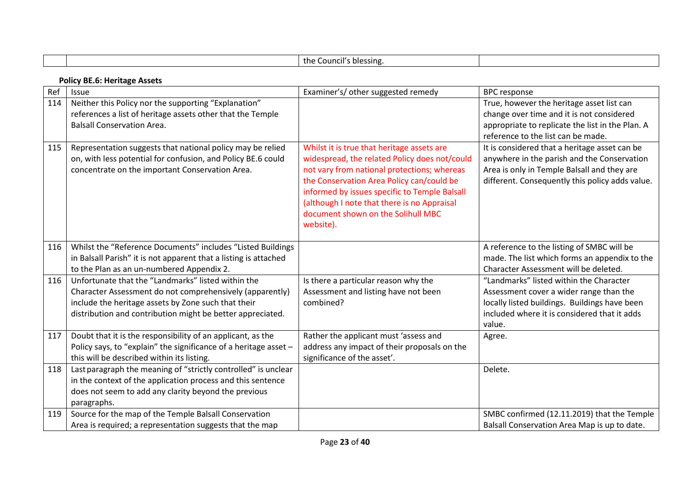|     |                                                                                                                                                                                                                                     | the Council's blessing.                                                                                                                                                                                                                                                                                                                    |                                                                                                                                                                                                |  |  |
|-----|-------------------------------------------------------------------------------------------------------------------------------------------------------------------------------------------------------------------------------------|--------------------------------------------------------------------------------------------------------------------------------------------------------------------------------------------------------------------------------------------------------------------------------------------------------------------------------------------|------------------------------------------------------------------------------------------------------------------------------------------------------------------------------------------------|--|--|
|     | <b>Policy BE.6: Heritage Assets</b>                                                                                                                                                                                                 |                                                                                                                                                                                                                                                                                                                                            |                                                                                                                                                                                                |  |  |
| Ref | Issue                                                                                                                                                                                                                               | Examiner's/ other suggested remedy                                                                                                                                                                                                                                                                                                         | <b>BPC</b> response                                                                                                                                                                            |  |  |
| 114 | Neither this Policy nor the supporting "Explanation"<br>references a list of heritage assets other that the Temple<br><b>Balsall Conservation Area.</b>                                                                             |                                                                                                                                                                                                                                                                                                                                            | True, however the heritage asset list can<br>change over time and it is not considered<br>appropriate to replicate the list in the Plan. A<br>reference to the list can be made.               |  |  |
| 115 | Representation suggests that national policy may be relied<br>on, with less potential for confusion, and Policy BE.6 could<br>concentrate on the important Conservation Area.                                                       | Whilst it is true that heritage assets are<br>widespread, the related Policy does not/could<br>not vary from national protections; whereas<br>the Conservation Area Policy can/could be<br>informed by issues specific to Temple Balsall<br>(although I note that there is no Appraisal<br>document shown on the Solihull MBC<br>website). | It is considered that a heritage asset can be<br>anywhere in the parish and the Conservation<br>Area is only in Temple Balsall and they are<br>different. Consequently this policy adds value. |  |  |
| 116 | Whilst the "Reference Documents" includes "Listed Buildings<br>in Balsall Parish" it is not apparent that a listing is attached<br>to the Plan as an un-numbered Appendix 2.                                                        |                                                                                                                                                                                                                                                                                                                                            | A reference to the listing of SMBC will be<br>made. The list which forms an appendix to the<br>Character Assessment will be deleted.                                                           |  |  |
| 116 | Unfortunate that the "Landmarks" listed within the<br>Character Assessment do not comprehensively (apparently)<br>include the heritage assets by Zone such that their<br>distribution and contribution might be better appreciated. | Is there a particular reason why the<br>Assessment and listing have not been<br>combined?                                                                                                                                                                                                                                                  | "Landmarks" listed within the Character<br>Assessment cover a wider range than the<br>locally listed buildings. Buildings have been<br>included where it is considered that it adds<br>value.  |  |  |
| 117 | Doubt that it is the responsibility of an applicant, as the<br>Policy says, to "explain" the significance of a heritage asset -<br>this will be described within its listing.                                                       | Rather the applicant must 'assess and<br>address any impact of their proposals on the<br>significance of the asset'.                                                                                                                                                                                                                       | Agree.                                                                                                                                                                                         |  |  |
| 118 | Last paragraph the meaning of "strictly controlled" is unclear<br>in the context of the application process and this sentence<br>does not seem to add any clarity beyond the previous<br>paragraphs.                                |                                                                                                                                                                                                                                                                                                                                            | Delete.                                                                                                                                                                                        |  |  |
| 119 | Source for the map of the Temple Balsall Conservation<br>Area is required; a representation suggests that the map                                                                                                                   |                                                                                                                                                                                                                                                                                                                                            | SMBC confirmed (12.11.2019) that the Temple<br>Balsall Conservation Area Map is up to date.                                                                                                    |  |  |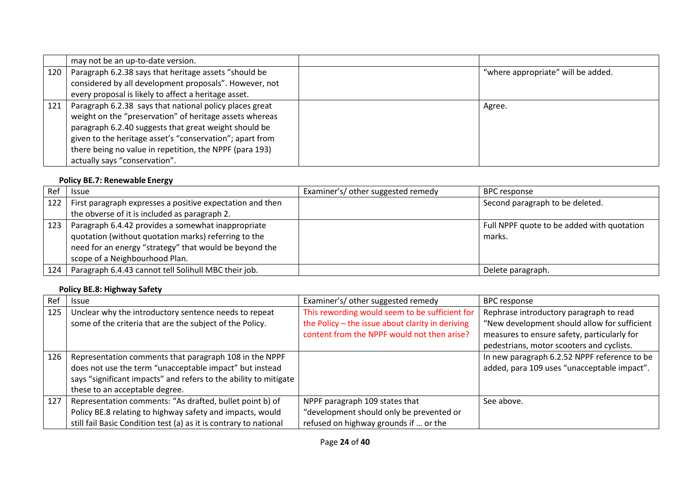|     | may not be an up-to-date version.                                                                                                                                                                                                                                                                                                   |                                    |
|-----|-------------------------------------------------------------------------------------------------------------------------------------------------------------------------------------------------------------------------------------------------------------------------------------------------------------------------------------|------------------------------------|
| 120 | Paragraph 6.2.38 says that heritage assets "should be                                                                                                                                                                                                                                                                               | "where appropriate" will be added. |
|     | considered by all development proposals". However, not                                                                                                                                                                                                                                                                              |                                    |
|     | every proposal is likely to affect a heritage asset.                                                                                                                                                                                                                                                                                |                                    |
| 121 | Paragraph 6.2.38 says that national policy places great<br>weight on the "preservation" of heritage assets whereas<br>paragraph 6.2.40 suggests that great weight should be<br>given to the heritage asset's "conservation"; apart from<br>there being no value in repetition, the NPPF (para 193)<br>actually says "conservation". | Agree.                             |

## **Policy BE.7: Renewable Energy**

| Ref | Issue                                                     | Examiner's/ other suggested remedy | <b>BPC</b> response                        |
|-----|-----------------------------------------------------------|------------------------------------|--------------------------------------------|
| 122 | First paragraph expresses a positive expectation and then |                                    | Second paragraph to be deleted.            |
|     | the obverse of it is included as paragraph 2.             |                                    |                                            |
| 123 | Paragraph 6.4.42 provides a somewhat inappropriate        |                                    | Full NPPF quote to be added with quotation |
|     | quotation (without quotation marks) referring to the      |                                    | marks.                                     |
|     | need for an energy "strategy" that would be beyond the    |                                    |                                            |
|     | scope of a Neighbourhood Plan.                            |                                    |                                            |
| 124 | Paragraph 6.4.43 cannot tell Solihull MBC their job.      |                                    | Delete paragraph.                          |

## **Policy BE.8: Highway Safety**

| Ref | <b>Issue</b>                                                      | Examiner's/ other suggested remedy               | <b>BPC response</b>                          |
|-----|-------------------------------------------------------------------|--------------------------------------------------|----------------------------------------------|
| 125 | Unclear why the introductory sentence needs to repeat             | This rewording would seem to be sufficient for   | Rephrase introductory paragraph to read      |
|     | some of the criteria that are the subject of the Policy.          | the Policy - the issue about clarity in deriving | "New development should allow for sufficient |
|     |                                                                   | content from the NPPF would not then arise?      | measures to ensure safety, particularly for  |
|     |                                                                   |                                                  | pedestrians, motor scooters and cyclists.    |
| 126 | Representation comments that paragraph 108 in the NPPF            |                                                  | In new paragraph 6.2.52 NPPF reference to be |
|     | does not use the term "unacceptable impact" but instead           |                                                  | added, para 109 uses "unacceptable impact".  |
|     | says "significant impacts" and refers to the ability to mitigate  |                                                  |                                              |
|     | these to an acceptable degree.                                    |                                                  |                                              |
| 127 | Representation comments: "As drafted, bullet point b) of          | NPPF paragraph 109 states that                   | See above.                                   |
|     | Policy BE.8 relating to highway safety and impacts, would         | "development should only be prevented or         |                                              |
|     | still fail Basic Condition test (a) as it is contrary to national | refused on highway grounds if  or the            |                                              |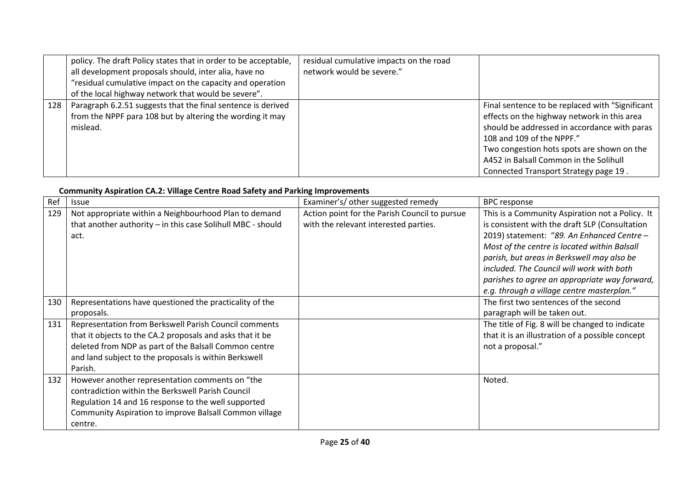|     | policy. The draft Policy states that in order to be acceptable,<br>all development proposals should, inter alia, have no<br>"residual cumulative impact on the capacity and operation<br>of the local highway network that would be severe". | residual cumulative impacts on the road<br>network would be severe." |                                                                                                                                                                                                                                                                                                              |
|-----|----------------------------------------------------------------------------------------------------------------------------------------------------------------------------------------------------------------------------------------------|----------------------------------------------------------------------|--------------------------------------------------------------------------------------------------------------------------------------------------------------------------------------------------------------------------------------------------------------------------------------------------------------|
| 128 | Paragraph 6.2.51 suggests that the final sentence is derived<br>from the NPPF para 108 but by altering the wording it may<br>mislead.                                                                                                        |                                                                      | Final sentence to be replaced with "Significant<br>effects on the highway network in this area<br>should be addressed in accordance with paras<br>108 and 109 of the NPPF."<br>Two congestion hots spots are shown on the<br>A452 in Balsall Common in the Solihull<br>Connected Transport Strategy page 19. |

#### **Community Aspiration CA.2: Village Centre Road Safety and Parking Improvements**

| Ref | Issue                                                       | Examiner's/ other suggested remedy            | <b>BPC</b> response                              |
|-----|-------------------------------------------------------------|-----------------------------------------------|--------------------------------------------------|
| 129 | Not appropriate within a Neighbourhood Plan to demand       | Action point for the Parish Council to pursue | This is a Community Aspiration not a Policy. It  |
|     | that another authority - in this case Solihull MBC - should | with the relevant interested parties.         | is consistent with the draft SLP (Consultation   |
|     | act.                                                        |                                               | 2019) statement: "89. An Enhanced Centre -       |
|     |                                                             |                                               | Most of the centre is located within Balsall     |
|     |                                                             |                                               | parish, but areas in Berkswell may also be       |
|     |                                                             |                                               | included. The Council will work with both        |
|     |                                                             |                                               | parishes to agree an appropriate way forward,    |
|     |                                                             |                                               | e.g. through a village centre masterplan."       |
| 130 | Representations have questioned the practicality of the     |                                               | The first two sentences of the second            |
|     | proposals.                                                  |                                               | paragraph will be taken out.                     |
| 131 | Representation from Berkswell Parish Council comments       |                                               | The title of Fig. 8 will be changed to indicate  |
|     | that it objects to the CA.2 proposals and asks that it be   |                                               | that it is an illustration of a possible concept |
|     | deleted from NDP as part of the Balsall Common centre       |                                               | not a proposal."                                 |
|     | and land subject to the proposals is within Berkswell       |                                               |                                                  |
|     | Parish.                                                     |                                               |                                                  |
| 132 | However another representation comments on "the             |                                               | Noted.                                           |
|     | contradiction within the Berkswell Parish Council           |                                               |                                                  |
|     | Regulation 14 and 16 response to the well supported         |                                               |                                                  |
|     | Community Aspiration to improve Balsall Common village      |                                               |                                                  |
|     | centre.                                                     |                                               |                                                  |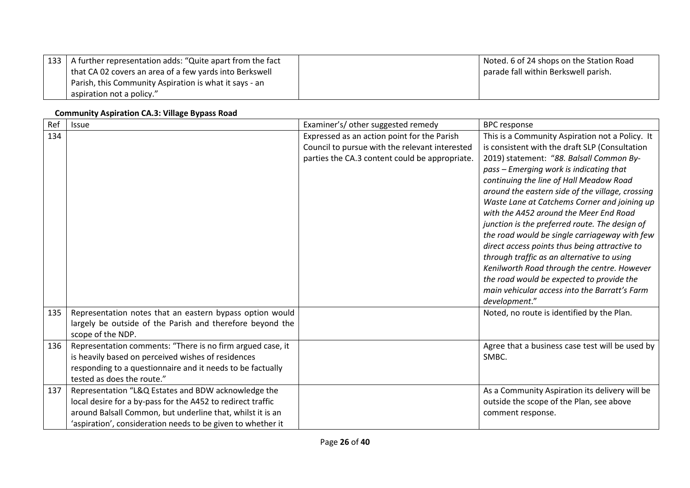| 133   A further representation adds: "Quite apart from the fact | Noted. 6 of 24 shops on the Station Road |
|-----------------------------------------------------------------|------------------------------------------|
| that CA 02 covers an area of a few yards into Berkswell         | parade fall within Berkswell parish.     |
| Parish, this Community Aspiration is what it says - an          |                                          |
| aspiration not a policy."                                       |                                          |

#### **Community Aspiration CA.3: Village Bypass Road**

| Ref | Issue                                                                          | Examiner's/ other suggested remedy             | <b>BPC</b> response                              |
|-----|--------------------------------------------------------------------------------|------------------------------------------------|--------------------------------------------------|
| 134 |                                                                                | Expressed as an action point for the Parish    | This is a Community Aspiration not a Policy. It  |
|     |                                                                                | Council to pursue with the relevant interested | is consistent with the draft SLP (Consultation   |
|     |                                                                                | parties the CA.3 content could be appropriate. | 2019) statement: "88. Balsall Common By-         |
|     |                                                                                |                                                | pass – Emerging work is indicating that          |
|     |                                                                                |                                                | continuing the line of Hall Meadow Road          |
|     |                                                                                |                                                | around the eastern side of the village, crossing |
|     |                                                                                |                                                | Waste Lane at Catchems Corner and joining up     |
|     |                                                                                |                                                | with the A452 around the Meer End Road           |
|     |                                                                                |                                                | junction is the preferred route. The design of   |
|     |                                                                                |                                                | the road would be single carriageway with few    |
|     |                                                                                |                                                | direct access points thus being attractive to    |
|     |                                                                                |                                                | through traffic as an alternative to using       |
|     |                                                                                |                                                | Kenilworth Road through the centre. However      |
|     |                                                                                |                                                | the road would be expected to provide the        |
|     |                                                                                |                                                | main vehicular access into the Barratt's Farm    |
|     |                                                                                |                                                | development."                                    |
| 135 | Representation notes that an eastern bypass option would                       |                                                | Noted, no route is identified by the Plan.       |
|     | largely be outside of the Parish and therefore beyond the<br>scope of the NDP. |                                                |                                                  |
| 136 | Representation comments: "There is no firm argued case, it                     |                                                | Agree that a business case test will be used by  |
|     | is heavily based on perceived wishes of residences                             |                                                | SMBC.                                            |
|     | responding to a questionnaire and it needs to be factually                     |                                                |                                                  |
|     | tested as does the route."                                                     |                                                |                                                  |
| 137 | Representation "L&Q Estates and BDW acknowledge the                            |                                                | As a Community Aspiration its delivery will be   |
|     | local desire for a by-pass for the A452 to redirect traffic                    |                                                | outside the scope of the Plan, see above         |
|     | around Balsall Common, but underline that, whilst it is an                     |                                                | comment response.                                |
|     | 'aspiration', consideration needs to be given to whether it                    |                                                |                                                  |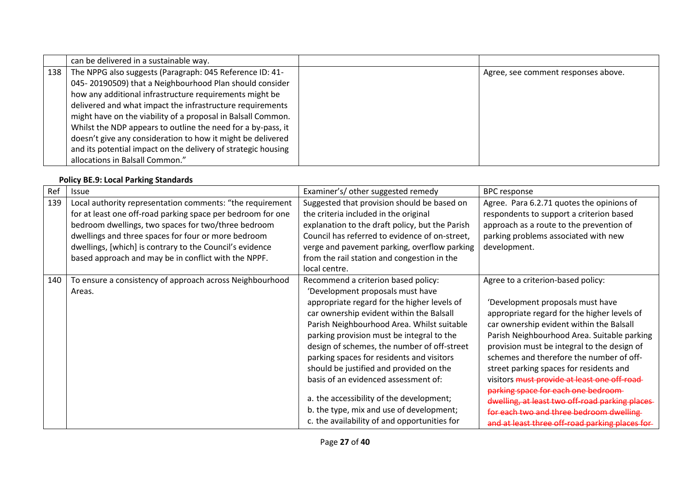|       | can be delivered in a sustainable way.                        |                                     |
|-------|---------------------------------------------------------------|-------------------------------------|
| 138 l | The NPPG also suggests (Paragraph: 045 Reference ID: 41-      | Agree, see comment responses above. |
|       | 045-20190509) that a Neighbourhood Plan should consider       |                                     |
|       | how any additional infrastructure requirements might be       |                                     |
|       | delivered and what impact the infrastructure requirements     |                                     |
|       | might have on the viability of a proposal in Balsall Common.  |                                     |
|       | Whilst the NDP appears to outline the need for a by-pass, it  |                                     |
|       | doesn't give any consideration to how it might be delivered   |                                     |
|       | and its potential impact on the delivery of strategic housing |                                     |
|       | allocations in Balsall Common."                               |                                     |

## **Policy BE.9: Local Parking Standards**

| Ref | <b>Issue</b>                                                | Examiner's/ other suggested remedy              | <b>BPC</b> response                             |
|-----|-------------------------------------------------------------|-------------------------------------------------|-------------------------------------------------|
| 139 | Local authority representation comments: "the requirement   | Suggested that provision should be based on     | Agree. Para 6.2.71 quotes the opinions of       |
|     | for at least one off-road parking space per bedroom for one | the criteria included in the original           | respondents to support a criterion based        |
|     | bedroom dwellings, two spaces for two/three bedroom         | explanation to the draft policy, but the Parish | approach as a route to the prevention of        |
|     | dwellings and three spaces for four or more bedroom         | Council has referred to evidence of on-street,  | parking problems associated with new            |
|     | dwellings, [which] is contrary to the Council's evidence    | verge and pavement parking, overflow parking    | development.                                    |
|     | based approach and may be in conflict with the NPPF.        | from the rail station and congestion in the     |                                                 |
|     |                                                             | local centre.                                   |                                                 |
| 140 | To ensure a consistency of approach across Neighbourhood    | Recommend a criterion based policy:             | Agree to a criterion-based policy:              |
|     | Areas.                                                      | 'Development proposals must have                |                                                 |
|     |                                                             | appropriate regard for the higher levels of     | 'Development proposals must have                |
|     |                                                             | car ownership evident within the Balsall        | appropriate regard for the higher levels of     |
|     |                                                             | Parish Neighbourhood Area. Whilst suitable      | car ownership evident within the Balsall        |
|     |                                                             | parking provision must be integral to the       | Parish Neighbourhood Area. Suitable parking     |
|     |                                                             | design of schemes, the number of off-street     | provision must be integral to the design of     |
|     |                                                             | parking spaces for residents and visitors       | schemes and therefore the number of off-        |
|     |                                                             | should be justified and provided on the         | street parking spaces for residents and         |
|     |                                                             | basis of an evidenced assessment of:            | visitors must provide at least one off-road     |
|     |                                                             |                                                 | parking space for each one bedroom              |
|     |                                                             | a. the accessibility of the development;        | dwelling, at least two off-road parking places- |
|     |                                                             | b. the type, mix and use of development;        | for each two and three bedroom dwelling         |
|     |                                                             | c. the availability of and opportunities for    | and at least three off-road parking places for- |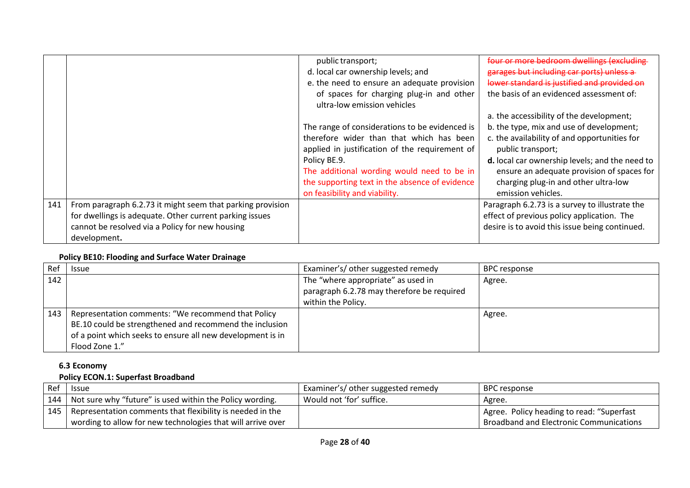|     |                                                                                                                                                                                          | public transport;<br>d. local car ownership levels; and<br>e. the need to ensure an adequate provision<br>of spaces for charging plug-in and other<br>ultra-low emission vehicles                                                                                                             | four or more bedroom dwellings (excluding<br>garages but including car ports) unless a<br>lower standard is justified and provided on<br>the basis of an evidenced assessment of:                                                                                                                                       |
|-----|------------------------------------------------------------------------------------------------------------------------------------------------------------------------------------------|-----------------------------------------------------------------------------------------------------------------------------------------------------------------------------------------------------------------------------------------------------------------------------------------------|-------------------------------------------------------------------------------------------------------------------------------------------------------------------------------------------------------------------------------------------------------------------------------------------------------------------------|
|     |                                                                                                                                                                                          | The range of considerations to be evidenced is<br>therefore wider than that which has been<br>applied in justification of the requirement of<br>Policy BE.9.<br>The additional wording would need to be in<br>the supporting text in the absence of evidence<br>on feasibility and viability. | a. the accessibility of the development;<br>b. the type, mix and use of development;<br>c. the availability of and opportunities for<br>public transport;<br>d. local car ownership levels; and the need to<br>ensure an adequate provision of spaces for<br>charging plug-in and other ultra-low<br>emission vehicles. |
| 141 | From paragraph 6.2.73 it might seem that parking provision<br>for dwellings is adequate. Other current parking issues<br>cannot be resolved via a Policy for new housing<br>development. |                                                                                                                                                                                                                                                                                               | Paragraph 6.2.73 is a survey to illustrate the<br>effect of previous policy application. The<br>desire is to avoid this issue being continued.                                                                                                                                                                          |

#### **Policy BE10: Flooding and Surface Water Drainage**

| Ref | <b>Issue</b>                                               | Examiner's/ other suggested remedy         | <b>BPC</b> response |
|-----|------------------------------------------------------------|--------------------------------------------|---------------------|
| 142 |                                                            | The "where appropriate" as used in         | Agree.              |
|     |                                                            | paragraph 6.2.78 may therefore be required |                     |
|     |                                                            | within the Policy.                         |                     |
| 143 | Representation comments: "We recommend that Policy         |                                            | Agree.              |
|     | BE.10 could be strengthened and recommend the inclusion    |                                            |                     |
|     | of a point which seeks to ensure all new development is in |                                            |                     |
|     | Flood Zone 1."                                             |                                            |                     |

# **6.3 Economy**

## **Policy ECON.1: Superfast Broadband**

| Ref | <b>Issue</b>                                                                 | Examiner's/ other suggested remedy | BPC response                              |
|-----|------------------------------------------------------------------------------|------------------------------------|-------------------------------------------|
|     | 144   Not sure why "future" is used within the Policy wording.               | Would not 'for' suffice.           | Agree.                                    |
|     | <sup>1</sup> 145   Representation comments that flexibility is needed in the |                                    | Agree. Policy heading to read: "Superfast |
|     | wording to allow for new technologies that will arrive over                  |                                    | Broadband and Electronic Communications   |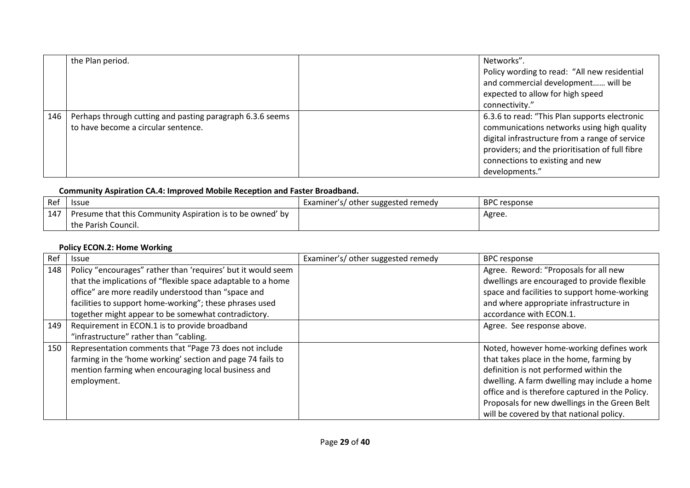|     | the Plan period.                                                                                 | Networks".<br>Policy wording to read: "All new residential<br>and commercial development will be<br>expected to allow for high speed<br>connectivity."                                                                                                |
|-----|--------------------------------------------------------------------------------------------------|-------------------------------------------------------------------------------------------------------------------------------------------------------------------------------------------------------------------------------------------------------|
| 146 | Perhaps through cutting and pasting paragraph 6.3.6 seems<br>to have become a circular sentence. | 6.3.6 to read: "This Plan supports electronic<br>communications networks using high quality<br>digital infrastructure from a range of service<br>providers; and the prioritisation of full fibre<br>connections to existing and new<br>developments." |

## **Community Aspiration CA.4: Improved Mobile Reception and Faster Broadband.**

| Ref | <b>Issue</b>                                              | Examiner's/ other suggested remedy | <b>BPC</b> response |
|-----|-----------------------------------------------------------|------------------------------------|---------------------|
| 147 | Presume that this Community Aspiration is to be owned' by |                                    | Agree.              |
|     | the Parish Council.                                       |                                    |                     |

## **Policy ECON.2: Home Working**

| Ref | <b>Issue</b>                                                 | Examiner's/ other suggested remedy | <b>BPC response</b>                             |
|-----|--------------------------------------------------------------|------------------------------------|-------------------------------------------------|
| 148 | Policy "encourages" rather than 'requires' but it would seem |                                    | Agree. Reword: "Proposals for all new           |
|     | that the implications of "flexible space adaptable to a home |                                    | dwellings are encouraged to provide flexible    |
|     | office" are more readily understood than "space and          |                                    | space and facilities to support home-working    |
|     | facilities to support home-working"; these phrases used      |                                    | and where appropriate infrastructure in         |
|     | together might appear to be somewhat contradictory.          |                                    | accordance with ECON.1.                         |
| 149 | Requirement in ECON.1 is to provide broadband                |                                    | Agree. See response above.                      |
|     | "infrastructure" rather than "cabling.                       |                                    |                                                 |
| 150 | Representation comments that "Page 73 does not include       |                                    | Noted, however home-working defines work        |
|     | farming in the 'home working' section and page 74 fails to   |                                    | that takes place in the home, farming by        |
|     | mention farming when encouraging local business and          |                                    | definition is not performed within the          |
|     | employment.                                                  |                                    | dwelling. A farm dwelling may include a home    |
|     |                                                              |                                    | office and is therefore captured in the Policy. |
|     |                                                              |                                    | Proposals for new dwellings in the Green Belt   |
|     |                                                              |                                    | will be covered by that national policy.        |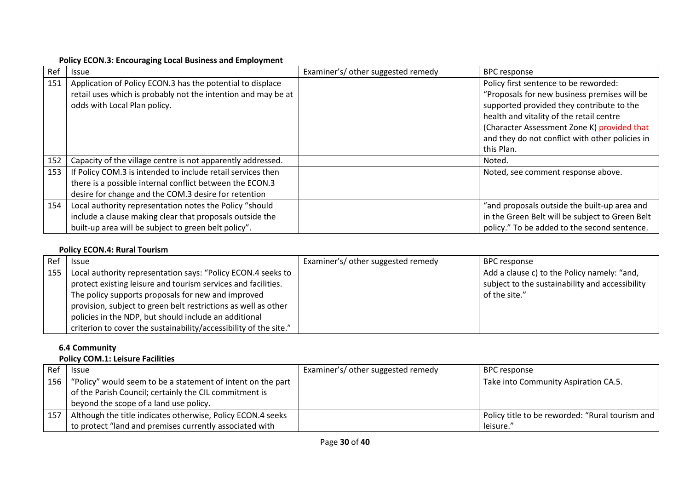#### **Policy ECON.3: Encouraging Local Business and Employment**

| Ref | <b>Issue</b>                                                                                                                                                | Examiner's/ other suggested remedy | <b>BPC response</b>                                                                                                                                                                                                                                                                            |
|-----|-------------------------------------------------------------------------------------------------------------------------------------------------------------|------------------------------------|------------------------------------------------------------------------------------------------------------------------------------------------------------------------------------------------------------------------------------------------------------------------------------------------|
| 151 | Application of Policy ECON.3 has the potential to displace<br>retail uses which is probably not the intention and may be at<br>odds with Local Plan policy. |                                    | Policy first sentence to be reworded:<br>"Proposals for new business premises will be<br>supported provided they contribute to the<br>health and vitality of the retail centre<br>(Character Assessment Zone K) provided that<br>and they do not conflict with other policies in<br>this Plan. |
| 152 | Capacity of the village centre is not apparently addressed.                                                                                                 |                                    | Noted.                                                                                                                                                                                                                                                                                         |
| 153 | If Policy COM.3 is intended to include retail services then                                                                                                 |                                    | Noted, see comment response above.                                                                                                                                                                                                                                                             |
|     | there is a possible internal conflict between the ECON.3                                                                                                    |                                    |                                                                                                                                                                                                                                                                                                |
|     | desire for change and the COM.3 desire for retention                                                                                                        |                                    |                                                                                                                                                                                                                                                                                                |
| 154 | Local authority representation notes the Policy "should                                                                                                     |                                    | "and proposals outside the built-up area and                                                                                                                                                                                                                                                   |
|     | include a clause making clear that proposals outside the                                                                                                    |                                    | in the Green Belt will be subject to Green Belt                                                                                                                                                                                                                                                |
|     | built-up area will be subject to green belt policy".                                                                                                        |                                    | policy." To be added to the second sentence.                                                                                                                                                                                                                                                   |

### **Policy ECON.4: Rural Tourism**

| Ref | <b>Issue</b>                                                      | Examiner's/ other suggested remedy | BPC response                                    |
|-----|-------------------------------------------------------------------|------------------------------------|-------------------------------------------------|
| 155 | Local authority representation says: "Policy ECON.4 seeks to      |                                    | Add a clause c) to the Policy namely: "and,     |
|     | protect existing leisure and tourism services and facilities.     |                                    | subject to the sustainability and accessibility |
|     | The policy supports proposals for new and improved                |                                    | of the site."                                   |
|     | provision, subject to green belt restrictions as well as other    |                                    |                                                 |
|     | policies in the NDP, but should include an additional             |                                    |                                                 |
|     | criterion to cover the sustainability/accessibility of the site." |                                    |                                                 |

# **6.4 Community**

## **Policy COM.1: Leisure Facilities**

| Ref | <b>Issue</b>                                                                    | Examiner's/ other suggested remedy | BPC response                                    |
|-----|---------------------------------------------------------------------------------|------------------------------------|-------------------------------------------------|
|     | $\vert$ 156 $\vert$ "Policy" would seem to be a statement of intent on the part |                                    | Take into Community Aspiration CA.5.            |
|     | of the Parish Council; certainly the CIL commitment is                          |                                    |                                                 |
|     | beyond the scope of a land use policy.                                          |                                    |                                                 |
| 157 | Although the title indicates otherwise, Policy ECON.4 seeks                     |                                    | Policy title to be reworded: "Rural tourism and |
|     | to protect "land and premises currently associated with                         |                                    | leisure."                                       |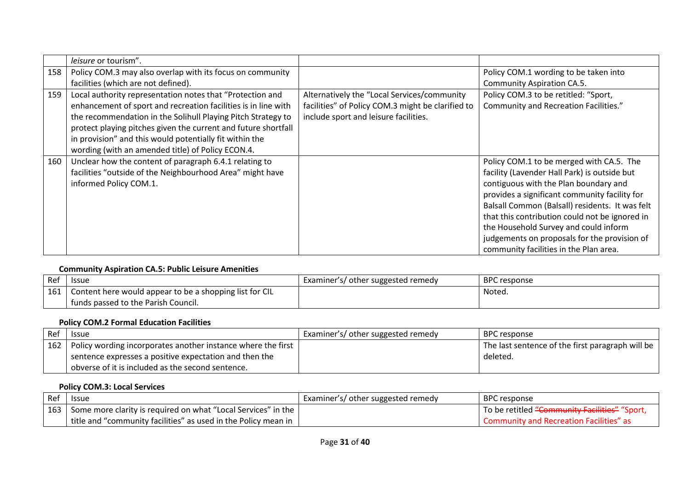|     | leisure or tourism".                                           |                                                   |                                                 |
|-----|----------------------------------------------------------------|---------------------------------------------------|-------------------------------------------------|
| 158 | Policy COM.3 may also overlap with its focus on community      |                                                   | Policy COM.1 wording to be taken into           |
|     | facilities (which are not defined).                            |                                                   | Community Aspiration CA.5.                      |
| 159 | Local authority representation notes that "Protection and      | Alternatively the "Local Services/community       | Policy COM.3 to be retitled: "Sport,            |
|     | enhancement of sport and recreation facilities is in line with | facilities" of Policy COM.3 might be clarified to | Community and Recreation Facilities."           |
|     | the recommendation in the Solihull Playing Pitch Strategy to   | include sport and leisure facilities.             |                                                 |
|     | protect playing pitches given the current and future shortfall |                                                   |                                                 |
|     | in provision" and this would potentially fit within the        |                                                   |                                                 |
|     | wording (with an amended title) of Policy ECON.4.              |                                                   |                                                 |
| 160 | Unclear how the content of paragraph 6.4.1 relating to         |                                                   | Policy COM.1 to be merged with CA.5. The        |
|     | facilities "outside of the Neighbourhood Area" might have      |                                                   | facility (Lavender Hall Park) is outside but    |
|     | informed Policy COM.1.                                         |                                                   | contiguous with the Plan boundary and           |
|     |                                                                |                                                   | provides a significant community facility for   |
|     |                                                                |                                                   | Balsall Common (Balsall) residents. It was felt |
|     |                                                                |                                                   | that this contribution could not be ignored in  |
|     |                                                                |                                                   | the Household Survey and could inform           |
|     |                                                                |                                                   | judgements on proposals for the provision of    |
|     |                                                                |                                                   | community facilities in the Plan area.          |

## **Community Aspiration CA.5: Public Leisure Amenities**

| Ref        | <b>Issue</b>                                            | Examiner's/ other suggested remedy | <b>BPC</b> response |
|------------|---------------------------------------------------------|------------------------------------|---------------------|
| 161<br>⊥∪- | Content here would appear to be a shopping list for CIL |                                    | Notea.              |
|            | funds passed to the Parish Council.                     |                                    |                     |

### **Policy COM.2 Formal Education Facilities**

| Ref | <b>Issue</b>                                                       | Examiner's/ other suggested remedy | BPC response                                     |
|-----|--------------------------------------------------------------------|------------------------------------|--------------------------------------------------|
|     | 162   Policy wording incorporates another instance where the first |                                    | The last sentence of the first paragraph will be |
|     | sentence expresses a positive expectation and then the             |                                    | deleted.                                         |
|     | obverse of it is included as the second sentence.                  |                                    |                                                  |

## **Policy COM.3: Local Services**

| Ref | <b>Issue</b>                                                               | Examiner's/ other suggested remedy | <b>BPC</b> response                                      |
|-----|----------------------------------------------------------------------------|------------------------------------|----------------------------------------------------------|
|     | 163   Some more clarity is required on what "Local Services" in the        |                                    | To be retitled <del>"Community Facilities"</del> "Sport, |
|     | title and "community facilities" as used in the Policy mean in $\parallel$ |                                    | Community and Recreation Facilities" as                  |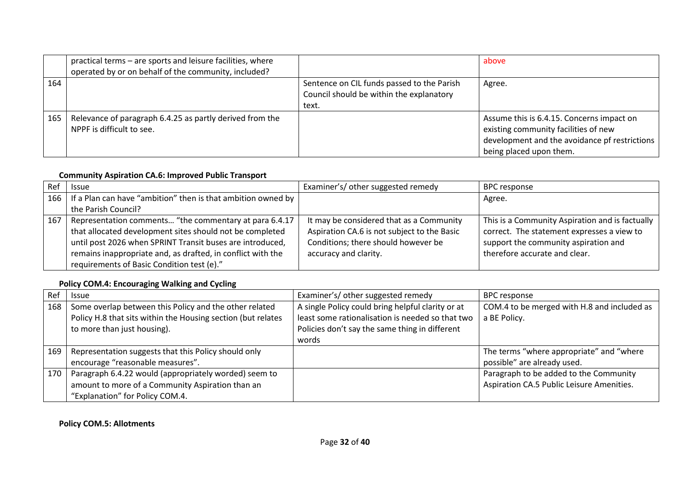|     | practical terms - are sports and leisure facilities, where<br>operated by or on behalf of the community, included? |                                                                                                 | above                                                                                                                                                         |
|-----|--------------------------------------------------------------------------------------------------------------------|-------------------------------------------------------------------------------------------------|---------------------------------------------------------------------------------------------------------------------------------------------------------------|
| 164 |                                                                                                                    | Sentence on CIL funds passed to the Parish<br>Council should be within the explanatory<br>text. | Agree.                                                                                                                                                        |
| 165 | Relevance of paragraph 6.4.25 as partly derived from the<br>NPPF is difficult to see.                              |                                                                                                 | Assume this is 6.4.15. Concerns impact on<br>existing community facilities of new<br>development and the avoidance pf restrictions<br>being placed upon them. |

#### **Community Aspiration CA.6: Improved Public Transport**

| Ref | <b>Issue</b>                                                       | Examiner's/ other suggested remedy          | <b>BPC</b> response                             |
|-----|--------------------------------------------------------------------|---------------------------------------------|-------------------------------------------------|
|     | 166   If a Plan can have "ambition" then is that ambition owned by |                                             | Agree.                                          |
|     | the Parish Council?                                                |                                             |                                                 |
| 167 | Representation comments "the commentary at para 6.4.17             | It may be considered that as a Community    | This is a Community Aspiration and is factually |
|     | that allocated development sites should not be completed           | Aspiration CA.6 is not subject to the Basic | correct. The statement expresses a view to      |
|     | until post 2026 when SPRINT Transit buses are introduced,          | Conditions; there should however be         | support the community aspiration and            |
|     | remains inappropriate and, as drafted, in conflict with the        | accuracy and clarity.                       | therefore accurate and clear.                   |
|     | requirements of Basic Condition test (e)."                         |                                             |                                                 |

### **Policy COM.4: Encouraging Walking and Cycling**

| Ref | <b>Issue</b>                                                                                                                                          | Examiner's/ other suggested remedy                                                                                                                      | <b>BPC response</b>                                         |
|-----|-------------------------------------------------------------------------------------------------------------------------------------------------------|---------------------------------------------------------------------------------------------------------------------------------------------------------|-------------------------------------------------------------|
| 168 | Some overlap between this Policy and the other related<br>Policy H.8 that sits within the Housing section (but relates<br>to more than just housing). | A single Policy could bring helpful clarity or at<br>least some rationalisation is needed so that two<br>Policies don't say the same thing in different | COM.4 to be merged with H.8 and included as<br>a BE Policy. |
|     |                                                                                                                                                       | words                                                                                                                                                   |                                                             |
| 169 | Representation suggests that this Policy should only                                                                                                  |                                                                                                                                                         | The terms "where appropriate" and "where                    |
|     | encourage "reasonable measures".                                                                                                                      |                                                                                                                                                         | possible" are already used.                                 |
| 170 | Paragraph 6.4.22 would (appropriately worded) seem to                                                                                                 |                                                                                                                                                         | Paragraph to be added to the Community                      |
|     | amount to more of a Community Aspiration than an                                                                                                      |                                                                                                                                                         | Aspiration CA.5 Public Leisure Amenities.                   |
|     | "Explanation" for Policy COM.4.                                                                                                                       |                                                                                                                                                         |                                                             |

## **Policy COM.5: Allotments**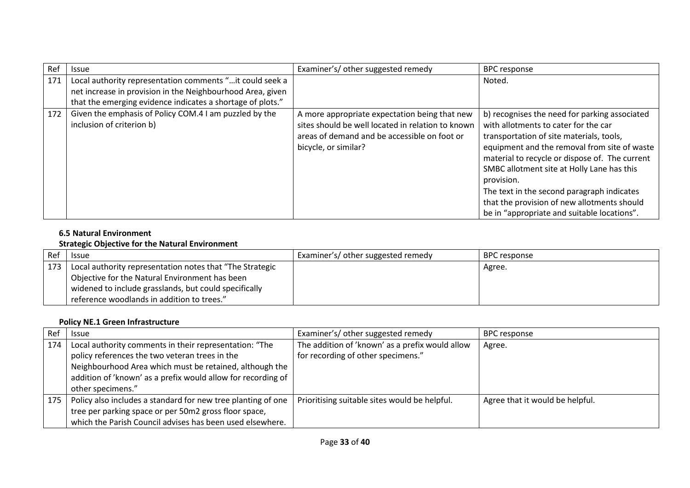| Ref | <b>Issue</b>                                                                                                            | Examiner's/ other suggested remedy                                                                                                                                         | <b>BPC response</b>                                                                                                                                                                                                                                                                                                                                                                                                                         |
|-----|-------------------------------------------------------------------------------------------------------------------------|----------------------------------------------------------------------------------------------------------------------------------------------------------------------------|---------------------------------------------------------------------------------------------------------------------------------------------------------------------------------------------------------------------------------------------------------------------------------------------------------------------------------------------------------------------------------------------------------------------------------------------|
| 171 | Local authority representation comments " it could seek a<br>net increase in provision in the Neighbourhood Area, given |                                                                                                                                                                            | Noted.                                                                                                                                                                                                                                                                                                                                                                                                                                      |
|     | that the emerging evidence indicates a shortage of plots."                                                              |                                                                                                                                                                            |                                                                                                                                                                                                                                                                                                                                                                                                                                             |
| 172 | Given the emphasis of Policy COM.4 I am puzzled by the<br>inclusion of criterion b)                                     | A more appropriate expectation being that new<br>sites should be well located in relation to known<br>areas of demand and be accessible on foot or<br>bicycle, or similar? | b) recognises the need for parking associated<br>with allotments to cater for the car<br>transportation of site materials, tools,<br>equipment and the removal from site of waste<br>material to recycle or dispose of. The current<br>SMBC allotment site at Holly Lane has this<br>provision.<br>The text in the second paragraph indicates<br>that the provision of new allotments should<br>be in "appropriate and suitable locations". |

### **6.5 Natural Environment**

## **Strategic Objective for the Natural Environment**

| Ref | <b>Issue</b>                                             | Examiner's/ other suggested remedy | BPC response |
|-----|----------------------------------------------------------|------------------------------------|--------------|
| 173 | Local authority representation notes that "The Strategic |                                    | Agree.       |
|     | Objective for the Natural Environment has been           |                                    |              |
|     | widened to include grasslands, but could specifically    |                                    |              |
|     | reference woodlands in addition to trees."               |                                    |              |

## **Policy NE.1 Green Infrastructure**

| Ref | <b>Issue</b>                                                                                                                                                                                                                                             | Examiner's/ other suggested remedy                                                    | <b>BPC</b> response             |
|-----|----------------------------------------------------------------------------------------------------------------------------------------------------------------------------------------------------------------------------------------------------------|---------------------------------------------------------------------------------------|---------------------------------|
| 174 | Local authority comments in their representation: "The<br>policy references the two veteran trees in the<br>Neighbourhood Area which must be retained, although the<br>addition of 'known' as a prefix would allow for recording of<br>other specimens." | The addition of 'known' as a prefix would allow<br>for recording of other specimens." | Agree.                          |
| 175 | Policy also includes a standard for new tree planting of one<br>tree per parking space or per 50m2 gross floor space,<br>which the Parish Council advises has been used elsewhere.                                                                       | Prioritising suitable sites would be helpful.                                         | Agree that it would be helpful. |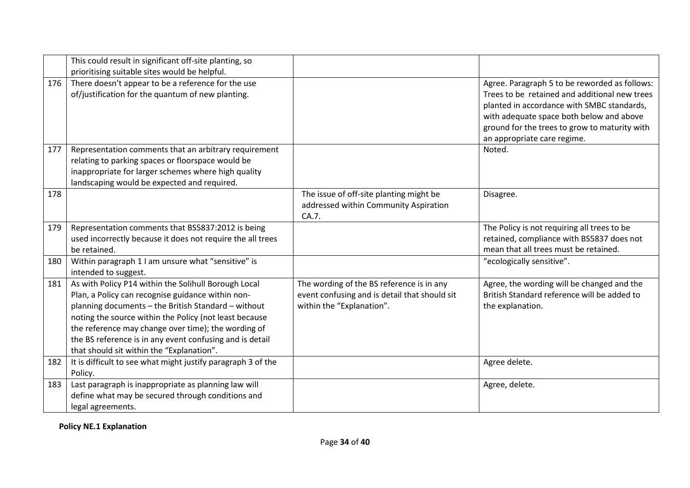|     | This could result in significant off-site planting, so<br>prioritising suitable sites would be helpful.                                                                                                                                                                                                                                                                                    |                                                                                                                         |                                                                                                                                                                                                                                                                          |
|-----|--------------------------------------------------------------------------------------------------------------------------------------------------------------------------------------------------------------------------------------------------------------------------------------------------------------------------------------------------------------------------------------------|-------------------------------------------------------------------------------------------------------------------------|--------------------------------------------------------------------------------------------------------------------------------------------------------------------------------------------------------------------------------------------------------------------------|
| 176 | There doesn't appear to be a reference for the use<br>of/justification for the quantum of new planting.                                                                                                                                                                                                                                                                                    |                                                                                                                         | Agree. Paragraph 5 to be reworded as follows:<br>Trees to be retained and additional new trees<br>planted in accordance with SMBC standards,<br>with adequate space both below and above<br>ground for the trees to grow to maturity with<br>an appropriate care regime. |
| 177 | Representation comments that an arbitrary requirement<br>relating to parking spaces or floorspace would be<br>inappropriate for larger schemes where high quality<br>landscaping would be expected and required.                                                                                                                                                                           |                                                                                                                         | Noted.                                                                                                                                                                                                                                                                   |
| 178 |                                                                                                                                                                                                                                                                                                                                                                                            | The issue of off-site planting might be<br>addressed within Community Aspiration<br>CA.7.                               | Disagree.                                                                                                                                                                                                                                                                |
| 179 | Representation comments that BS5837:2012 is being<br>used incorrectly because it does not require the all trees<br>be retained.                                                                                                                                                                                                                                                            |                                                                                                                         | The Policy is not requiring all trees to be<br>retained, compliance with BS5837 does not<br>mean that all trees must be retained.                                                                                                                                        |
| 180 | Within paragraph 1 I am unsure what "sensitive" is<br>intended to suggest.                                                                                                                                                                                                                                                                                                                 |                                                                                                                         | "ecologically sensitive".                                                                                                                                                                                                                                                |
| 181 | As with Policy P14 within the Solihull Borough Local<br>Plan, a Policy can recognise guidance within non-<br>planning documents - the British Standard - without<br>noting the source within the Policy (not least because<br>the reference may change over time); the wording of<br>the BS reference is in any event confusing and is detail<br>that should sit within the "Explanation". | The wording of the BS reference is in any<br>event confusing and is detail that should sit<br>within the "Explanation". | Agree, the wording will be changed and the<br>British Standard reference will be added to<br>the explanation.                                                                                                                                                            |
| 182 | It is difficult to see what might justify paragraph 3 of the<br>Policy.                                                                                                                                                                                                                                                                                                                    |                                                                                                                         | Agree delete.                                                                                                                                                                                                                                                            |
| 183 | Last paragraph is inappropriate as planning law will<br>define what may be secured through conditions and<br>legal agreements.                                                                                                                                                                                                                                                             |                                                                                                                         | Agree, delete.                                                                                                                                                                                                                                                           |

**Policy NE.1 Explanation**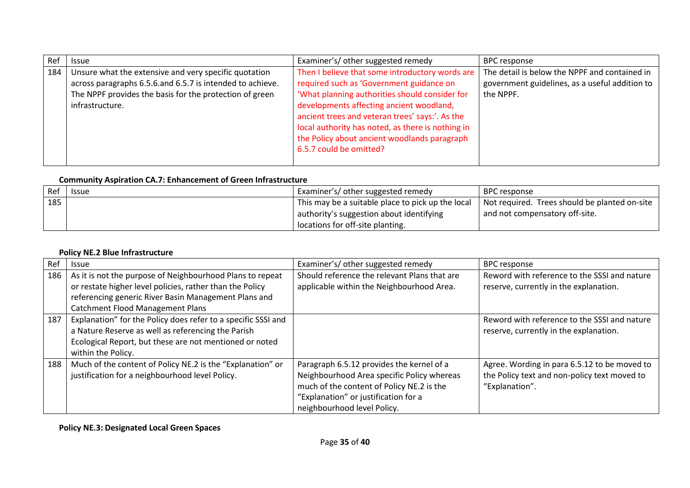| Ref | <b>Issue</b>                                                                                                                                                                                     | Examiner's/ other suggested remedy                                                                                                                                                                                                                                                                                                                                           | <b>BPC response</b>                                                                                          |
|-----|--------------------------------------------------------------------------------------------------------------------------------------------------------------------------------------------------|------------------------------------------------------------------------------------------------------------------------------------------------------------------------------------------------------------------------------------------------------------------------------------------------------------------------------------------------------------------------------|--------------------------------------------------------------------------------------------------------------|
| 184 | Unsure what the extensive and very specific quotation<br>across paragraphs 6.5.6.and 6.5.7 is intended to achieve.<br>The NPPF provides the basis for the protection of green<br>infrastructure. | Then I believe that some introductory words are<br>required such as 'Government guidance on<br>'What planning authorities should consider for<br>developments affecting ancient woodland,<br>ancient trees and veteran trees' says:'. As the<br>local authority has noted, as there is nothing in<br>the Policy about ancient woodlands paragraph<br>6.5.7 could be omitted? | The detail is below the NPPF and contained in<br>government guidelines, as a useful addition to<br>the NPPF. |

## **Community Aspiration CA.7: Enhancement of Green Infrastructure**

| Ref | <b>Issue</b> | Examiner's/ other suggested remedy                | BPC response                                  |
|-----|--------------|---------------------------------------------------|-----------------------------------------------|
| 185 |              | This may be a suitable place to pick up the local | Not required. Trees should be planted on-site |
|     |              | authority's suggestion about identifying          | and not compensatory off-site.                |
|     |              | locations for off-site planting.                  |                                               |

## **Policy NE.2 Blue Infrastructure**

| Ref | <b>Issue</b>                                                  | Examiner's/ other suggested remedy           | <b>BPC response</b>                          |
|-----|---------------------------------------------------------------|----------------------------------------------|----------------------------------------------|
| 186 | As it is not the purpose of Neighbourhood Plans to repeat     | Should reference the relevant Plans that are | Reword with reference to the SSSI and nature |
|     | or restate higher level policies, rather than the Policy      | applicable within the Neighbourhood Area.    | reserve, currently in the explanation.       |
|     | referencing generic River Basin Management Plans and          |                                              |                                              |
|     | <b>Catchment Flood Management Plans</b>                       |                                              |                                              |
| 187 | Explanation" for the Policy does refer to a specific SSSI and |                                              | Reword with reference to the SSSI and nature |
|     | a Nature Reserve as well as referencing the Parish            |                                              | reserve, currently in the explanation.       |
|     | Ecological Report, but these are not mentioned or noted       |                                              |                                              |
|     | within the Policy.                                            |                                              |                                              |
| 188 | Much of the content of Policy NE.2 is the "Explanation" or    | Paragraph 6.5.12 provides the kernel of a    | Agree. Wording in para 6.5.12 to be moved to |
|     | justification for a neighbourhood level Policy.               | Neighbourhood Area specific Policy whereas   | the Policy text and non-policy text moved to |
|     |                                                               | much of the content of Policy NE.2 is the    | "Explanation".                               |
|     |                                                               | "Explanation" or justification for a         |                                              |
|     |                                                               | neighbourhood level Policy.                  |                                              |

**Policy NE.3: Designated Local Green Spaces**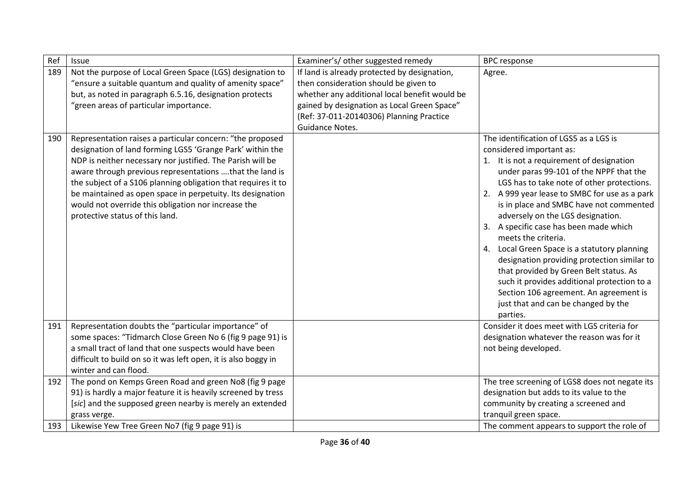| Ref        | Issue                                                                                                                                                                                                                                                                                                                                                                                                                                                                    | Examiner's/ other suggested remedy                                                                                                                                                                                                                   | <b>BPC</b> response                                                                                                                                                                                                                                                                                                                                                                                                                                                                                                                                                                                                                                                                             |
|------------|--------------------------------------------------------------------------------------------------------------------------------------------------------------------------------------------------------------------------------------------------------------------------------------------------------------------------------------------------------------------------------------------------------------------------------------------------------------------------|------------------------------------------------------------------------------------------------------------------------------------------------------------------------------------------------------------------------------------------------------|-------------------------------------------------------------------------------------------------------------------------------------------------------------------------------------------------------------------------------------------------------------------------------------------------------------------------------------------------------------------------------------------------------------------------------------------------------------------------------------------------------------------------------------------------------------------------------------------------------------------------------------------------------------------------------------------------|
| 189        | Not the purpose of Local Green Space (LGS) designation to<br>"ensure a suitable quantum and quality of amenity space"<br>but, as noted in paragraph 6.5.16, designation protects<br>"green areas of particular importance.                                                                                                                                                                                                                                               | If land is already protected by designation,<br>then consideration should be given to<br>whether any additional local benefit would be<br>gained by designation as Local Green Space"<br>(Ref: 37-011-20140306) Planning Practice<br>Guidance Notes. | Agree.                                                                                                                                                                                                                                                                                                                                                                                                                                                                                                                                                                                                                                                                                          |
| 190        | Representation raises a particular concern: "the proposed<br>designation of land forming LGS5 'Grange Park' within the<br>NDP is neither necessary nor justified. The Parish will be<br>aware through previous representations that the land is<br>the subject of a S106 planning obligation that requires it to<br>be maintained as open space in perpetuity. Its designation<br>would not override this obligation nor increase the<br>protective status of this land. |                                                                                                                                                                                                                                                      | The identification of LGS5 as a LGS is<br>considered important as:<br>1. It is not a requirement of designation<br>under paras 99-101 of the NPPF that the<br>LGS has to take note of other protections.<br>2. A 999 year lease to SMBC for use as a park<br>is in place and SMBC have not commented<br>adversely on the LGS designation.<br>3. A specific case has been made which<br>meets the criteria.<br>4. Local Green Space is a statutory planning<br>designation providing protection similar to<br>that provided by Green Belt status. As<br>such it provides additional protection to a<br>Section 106 agreement. An agreement is<br>just that and can be changed by the<br>parties. |
| 191        | Representation doubts the "particular importance" of<br>some spaces: "Tidmarch Close Green No 6 (fig 9 page 91) is<br>a small tract of land that one suspects would have been<br>difficult to build on so it was left open, it is also boggy in<br>winter and can flood.                                                                                                                                                                                                 |                                                                                                                                                                                                                                                      | Consider it does meet with LGS criteria for<br>designation whatever the reason was for it<br>not being developed.                                                                                                                                                                                                                                                                                                                                                                                                                                                                                                                                                                               |
| 192<br>193 | The pond on Kemps Green Road and green No8 (fig 9 page<br>91) is hardly a major feature it is heavily screened by tress<br>[sic] and the supposed green nearby is merely an extended<br>grass verge.<br>Likewise Yew Tree Green No7 (fig 9 page 91) is                                                                                                                                                                                                                   |                                                                                                                                                                                                                                                      | The tree screening of LGS8 does not negate its<br>designation but adds to its value to the<br>community by creating a screened and<br>tranquil green space.<br>The comment appears to support the role of                                                                                                                                                                                                                                                                                                                                                                                                                                                                                       |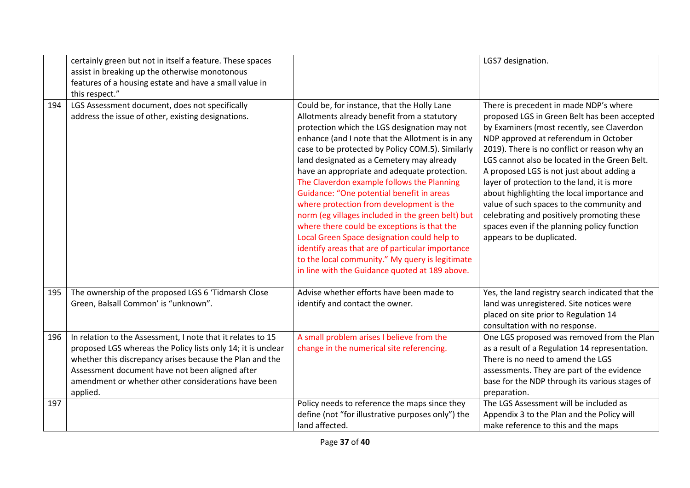|     | certainly green but not in itself a feature. These spaces<br>assist in breaking up the otherwise monotonous<br>features of a housing estate and have a small value in<br>this respect."                                                                                                                       |                                                                                                                                                                                                                                                                                                                                                                                                                                                                                                                                                                                                                                                                                                                                                                                                    | LGS7 designation.                                                                                                                                                                                                                                                                                                                                                                                                                                                                                                                                                                                |
|-----|---------------------------------------------------------------------------------------------------------------------------------------------------------------------------------------------------------------------------------------------------------------------------------------------------------------|----------------------------------------------------------------------------------------------------------------------------------------------------------------------------------------------------------------------------------------------------------------------------------------------------------------------------------------------------------------------------------------------------------------------------------------------------------------------------------------------------------------------------------------------------------------------------------------------------------------------------------------------------------------------------------------------------------------------------------------------------------------------------------------------------|--------------------------------------------------------------------------------------------------------------------------------------------------------------------------------------------------------------------------------------------------------------------------------------------------------------------------------------------------------------------------------------------------------------------------------------------------------------------------------------------------------------------------------------------------------------------------------------------------|
| 194 | LGS Assessment document, does not specifically<br>address the issue of other, existing designations.                                                                                                                                                                                                          | Could be, for instance, that the Holly Lane<br>Allotments already benefit from a statutory<br>protection which the LGS designation may not<br>enhance (and I note that the Allotment is in any<br>case to be protected by Policy COM.5). Similarly<br>land designated as a Cemetery may already<br>have an appropriate and adequate protection.<br>The Claverdon example follows the Planning<br>Guidance: "One potential benefit in areas<br>where protection from development is the<br>norm (eg villages included in the green belt) but<br>where there could be exceptions is that the<br>Local Green Space designation could help to<br>identify areas that are of particular importance<br>to the local community." My query is legitimate<br>in line with the Guidance quoted at 189 above. | There is precedent in made NDP's where<br>proposed LGS in Green Belt has been accepted<br>by Examiners (most recently, see Claverdon<br>NDP approved at referendum in October<br>2019). There is no conflict or reason why an<br>LGS cannot also be located in the Green Belt.<br>A proposed LGS is not just about adding a<br>layer of protection to the land, it is more<br>about highlighting the local importance and<br>value of such spaces to the community and<br>celebrating and positively promoting these<br>spaces even if the planning policy function<br>appears to be duplicated. |
| 195 | The ownership of the proposed LGS 6 'Tidmarsh Close<br>Green, Balsall Common' is "unknown".                                                                                                                                                                                                                   | Advise whether efforts have been made to<br>identify and contact the owner.                                                                                                                                                                                                                                                                                                                                                                                                                                                                                                                                                                                                                                                                                                                        | Yes, the land registry search indicated that the<br>land was unregistered. Site notices were<br>placed on site prior to Regulation 14<br>consultation with no response.                                                                                                                                                                                                                                                                                                                                                                                                                          |
| 196 | In relation to the Assessment, I note that it relates to 15<br>proposed LGS whereas the Policy lists only 14; it is unclear<br>whether this discrepancy arises because the Plan and the<br>Assessment document have not been aligned after<br>amendment or whether other considerations have been<br>applied. | A small problem arises I believe from the<br>change in the numerical site referencing.                                                                                                                                                                                                                                                                                                                                                                                                                                                                                                                                                                                                                                                                                                             | One LGS proposed was removed from the Plan<br>as a result of a Regulation 14 representation.<br>There is no need to amend the LGS<br>assessments. They are part of the evidence<br>base for the NDP through its various stages of<br>preparation.                                                                                                                                                                                                                                                                                                                                                |
| 197 |                                                                                                                                                                                                                                                                                                               | Policy needs to reference the maps since they<br>define (not "for illustrative purposes only") the<br>land affected.                                                                                                                                                                                                                                                                                                                                                                                                                                                                                                                                                                                                                                                                               | The LGS Assessment will be included as<br>Appendix 3 to the Plan and the Policy will<br>make reference to this and the maps                                                                                                                                                                                                                                                                                                                                                                                                                                                                      |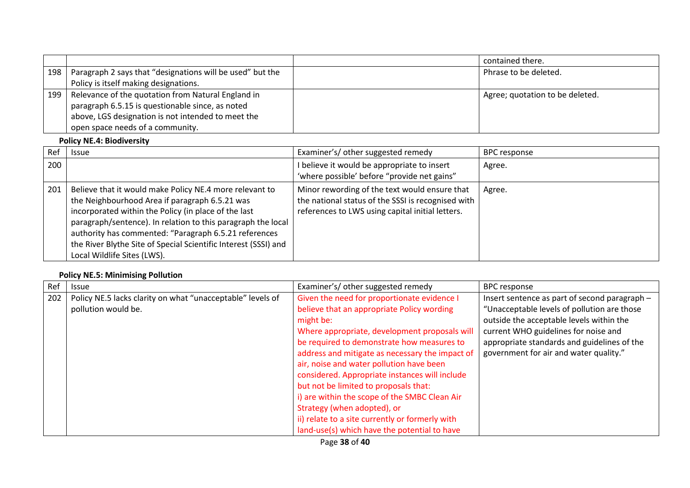|     |                                                           | contained there.                |
|-----|-----------------------------------------------------------|---------------------------------|
| 198 | Paragraph 2 says that "designations will be used" but the | Phrase to be deleted.           |
|     | Policy is itself making designations.                     |                                 |
| 199 | Relevance of the quotation from Natural England in        | Agree; quotation to be deleted. |
|     | paragraph 6.5.15 is questionable since, as noted          |                                 |
|     | above, LGS designation is not intended to meet the        |                                 |
|     | open space needs of a community.                          |                                 |

### **Policy NE.4: Biodiversity**

| Ref | <b>Issue</b>                                                                                                                                                                                                                                                                                                                                                                                 | Examiner's/ other suggested remedy                                                                                                                      | <b>BPC response</b> |
|-----|----------------------------------------------------------------------------------------------------------------------------------------------------------------------------------------------------------------------------------------------------------------------------------------------------------------------------------------------------------------------------------------------|---------------------------------------------------------------------------------------------------------------------------------------------------------|---------------------|
| 200 |                                                                                                                                                                                                                                                                                                                                                                                              | I believe it would be appropriate to insert<br>'where possible' before "provide net gains"                                                              | Agree.              |
| 201 | Believe that it would make Policy NE.4 more relevant to<br>the Neighbourhood Area if paragraph 6.5.21 was<br>incorporated within the Policy (in place of the last<br>paragraph/sentence). In relation to this paragraph the local<br>authority has commented: "Paragraph 6.5.21 references<br>the River Blythe Site of Special Scientific Interest (SSSI) and<br>Local Wildlife Sites (LWS). | Minor rewording of the text would ensure that<br>the national status of the SSSI is recognised with<br>references to LWS using capital initial letters. | Agree.              |

## **Policy NE.5: Minimising Pollution**

| Ref | Issue                                                      | Examiner's/ other suggested remedy              | <b>BPC response</b>                           |
|-----|------------------------------------------------------------|-------------------------------------------------|-----------------------------------------------|
| 202 | Policy NE.5 lacks clarity on what "unacceptable" levels of | Given the need for proportionate evidence I     | Insert sentence as part of second paragraph - |
|     | pollution would be.                                        | believe that an appropriate Policy wording      | "Unacceptable levels of pollution are those   |
|     |                                                            | might be:                                       | outside the acceptable levels within the      |
|     |                                                            | Where appropriate, development proposals will   | current WHO guidelines for noise and          |
|     |                                                            | be required to demonstrate how measures to      | appropriate standards and guidelines of the   |
|     |                                                            | address and mitigate as necessary the impact of | government for air and water quality."        |
|     |                                                            | air, noise and water pollution have been        |                                               |
|     |                                                            | considered. Appropriate instances will include  |                                               |
|     |                                                            | but not be limited to proposals that:           |                                               |
|     |                                                            | i) are within the scope of the SMBC Clean Air   |                                               |
|     |                                                            | Strategy (when adopted), or                     |                                               |
|     |                                                            | ii) relate to a site currently or formerly with |                                               |
|     |                                                            | land-use(s) which have the potential to have    |                                               |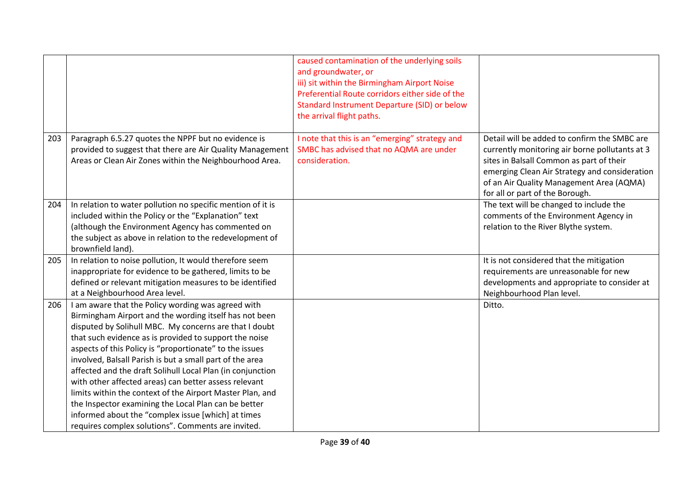|     |                                                                                                                  | caused contamination of the underlying soils<br>and groundwater, or<br>iii) sit within the Birmingham Airport Noise<br>Preferential Route corridors either side of the<br>Standard Instrument Departure (SID) or below<br>the arrival flight paths. |                                                                                                |
|-----|------------------------------------------------------------------------------------------------------------------|-----------------------------------------------------------------------------------------------------------------------------------------------------------------------------------------------------------------------------------------------------|------------------------------------------------------------------------------------------------|
| 203 | Paragraph 6.5.27 quotes the NPPF but no evidence is<br>provided to suggest that there are Air Quality Management | I note that this is an "emerging" strategy and<br>SMBC has advised that no AQMA are under                                                                                                                                                           | Detail will be added to confirm the SMBC are<br>currently monitoring air borne pollutants at 3 |
|     | Areas or Clean Air Zones within the Neighbourhood Area.                                                          | consideration.                                                                                                                                                                                                                                      | sites in Balsall Common as part of their                                                       |
|     |                                                                                                                  |                                                                                                                                                                                                                                                     | emerging Clean Air Strategy and consideration                                                  |
|     |                                                                                                                  |                                                                                                                                                                                                                                                     | of an Air Quality Management Area (AQMA)<br>for all or part of the Borough.                    |
| 204 | In relation to water pollution no specific mention of it is                                                      |                                                                                                                                                                                                                                                     | The text will be changed to include the                                                        |
|     | included within the Policy or the "Explanation" text                                                             |                                                                                                                                                                                                                                                     | comments of the Environment Agency in                                                          |
|     | (although the Environment Agency has commented on<br>the subject as above in relation to the redevelopment of    |                                                                                                                                                                                                                                                     | relation to the River Blythe system.                                                           |
|     | brownfield land).                                                                                                |                                                                                                                                                                                                                                                     |                                                                                                |
| 205 | In relation to noise pollution, It would therefore seem                                                          |                                                                                                                                                                                                                                                     | It is not considered that the mitigation                                                       |
|     | inappropriate for evidence to be gathered, limits to be                                                          |                                                                                                                                                                                                                                                     | requirements are unreasonable for new                                                          |
|     | defined or relevant mitigation measures to be identified<br>at a Neighbourhood Area level.                       |                                                                                                                                                                                                                                                     | developments and appropriate to consider at<br>Neighbourhood Plan level.                       |
| 206 | I am aware that the Policy wording was agreed with                                                               |                                                                                                                                                                                                                                                     | Ditto.                                                                                         |
|     | Birmingham Airport and the wording itself has not been                                                           |                                                                                                                                                                                                                                                     |                                                                                                |
|     | disputed by Solihull MBC. My concerns are that I doubt                                                           |                                                                                                                                                                                                                                                     |                                                                                                |
|     | that such evidence as is provided to support the noise                                                           |                                                                                                                                                                                                                                                     |                                                                                                |
|     | aspects of this Policy is "proportionate" to the issues                                                          |                                                                                                                                                                                                                                                     |                                                                                                |
|     | involved, Balsall Parish is but a small part of the area                                                         |                                                                                                                                                                                                                                                     |                                                                                                |
|     | affected and the draft Solihull Local Plan (in conjunction                                                       |                                                                                                                                                                                                                                                     |                                                                                                |
|     | with other affected areas) can better assess relevant                                                            |                                                                                                                                                                                                                                                     |                                                                                                |
|     | limits within the context of the Airport Master Plan, and                                                        |                                                                                                                                                                                                                                                     |                                                                                                |
|     | the Inspector examining the Local Plan can be better<br>informed about the "complex issue [which] at times       |                                                                                                                                                                                                                                                     |                                                                                                |
|     | requires complex solutions". Comments are invited.                                                               |                                                                                                                                                                                                                                                     |                                                                                                |